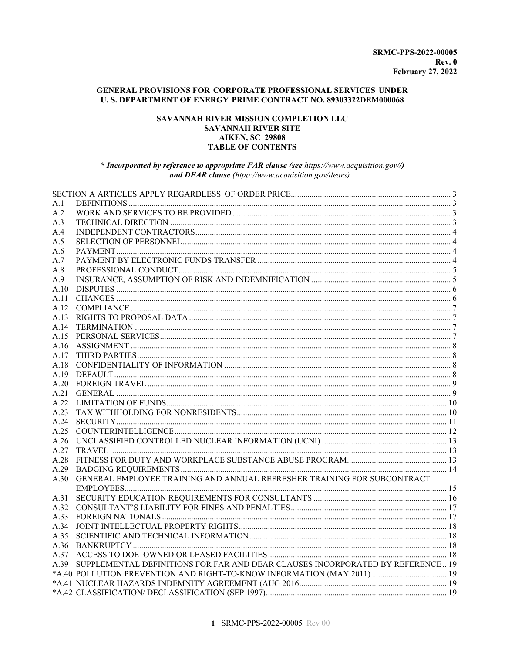### GENERAL PROVISIONS FOR CORPORATE PROFESSIONAL SERVICES UNDER U.S. DEPARTMENT OF ENERGY PRIME CONTRACT NO. 89303322DEM000068

### SAVANNAH RIVER MISSION COMPLETION LLC **SAVANNAH RIVER SITE AIKEN, SC 29808 TABLE OF CONTENTS**

#### \* Incorporated by reference to appropriate FAR clause (see https://www.acquisition.gov//) and DEAR clause (htpp://www.acquisition.gov/dears)

| A.1  |                                                                                     |  |
|------|-------------------------------------------------------------------------------------|--|
| A.2  |                                                                                     |  |
| A.3  |                                                                                     |  |
| A.4  |                                                                                     |  |
| A.5  |                                                                                     |  |
| A.6  |                                                                                     |  |
| A.7  |                                                                                     |  |
| A.8  |                                                                                     |  |
| A.9  |                                                                                     |  |
| A.10 |                                                                                     |  |
| A.11 |                                                                                     |  |
| A.12 |                                                                                     |  |
| A.13 |                                                                                     |  |
| A.14 |                                                                                     |  |
| A.15 |                                                                                     |  |
| A.16 |                                                                                     |  |
| A.17 |                                                                                     |  |
| A.18 |                                                                                     |  |
| A.19 |                                                                                     |  |
|      |                                                                                     |  |
| A.21 |                                                                                     |  |
| A.22 |                                                                                     |  |
| A.23 |                                                                                     |  |
| A.24 |                                                                                     |  |
| A.25 |                                                                                     |  |
| A.26 |                                                                                     |  |
| A.27 |                                                                                     |  |
| A.28 |                                                                                     |  |
| A.29 |                                                                                     |  |
| A.30 | GENERAL EMPLOYEE TRAINING AND ANNUAL REFRESHER TRAINING FOR SUBCONTRACT             |  |
|      |                                                                                     |  |
| A.31 |                                                                                     |  |
| A.32 |                                                                                     |  |
| A.33 |                                                                                     |  |
| A.34 |                                                                                     |  |
| A.35 |                                                                                     |  |
|      |                                                                                     |  |
|      |                                                                                     |  |
|      | A.39 SUPPLEMENTAL DEFINITIONS FOR FAR AND DEAR CLAUSES INCORPORATED BY REFERENCE 19 |  |
|      |                                                                                     |  |
|      |                                                                                     |  |
|      |                                                                                     |  |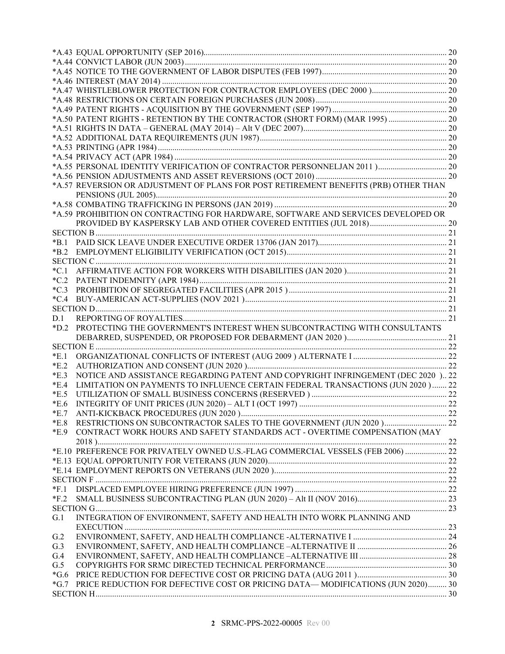|        | *A.57 REVERSION OR ADJUSTMENT OF PLANS FOR POST RETIREMENT BENEFITS (PRB) OTHER THAN |  |
|--------|--------------------------------------------------------------------------------------|--|
|        |                                                                                      |  |
|        |                                                                                      |  |
|        | *A.59 PROHIBITION ON CONTRACTING FOR HARDWARE, SOFTWARE AND SERVICES DEVELOPED OR    |  |
|        |                                                                                      |  |
|        |                                                                                      |  |
| *B.1   |                                                                                      |  |
| $*B.2$ |                                                                                      |  |
|        |                                                                                      |  |
| $*C.1$ |                                                                                      |  |
| $*C.2$ |                                                                                      |  |
| $*C.3$ |                                                                                      |  |
| $*C.4$ |                                                                                      |  |
| D.1    |                                                                                      |  |
| $*D.2$ | PROTECTING THE GOVERNMENT'S INTEREST WHEN SUBCONTRACTING WITH CONSULTANTS            |  |
|        |                                                                                      |  |
|        |                                                                                      |  |
| E.1    |                                                                                      |  |
| $*E.2$ |                                                                                      |  |
| E.3    | NOTICE AND ASSISTANCE REGARDING PATENT AND COPYRIGHT INFRINGEMENT (DEC 2020 ) 22     |  |
| E.4    | LIMITATION ON PAYMENTS TO INFLUENCE CERTAIN FEDERAL TRANSACTIONS (JUN 2020)  22      |  |
| E.5    |                                                                                      |  |
| E.6    |                                                                                      |  |
| $*E.7$ |                                                                                      |  |
| E.8    |                                                                                      |  |
| E.9    | CONTRACT WORK HOURS AND SAFETY STANDARDS ACT - OVERTIME COMPENSATION (MAY            |  |
|        |                                                                                      |  |
|        | *E.10 PREFERENCE FOR PRIVATELY OWNED U.S.-FLAG COMMERCIAL VESSELS (FEB 2006)  22     |  |
|        |                                                                                      |  |
|        |                                                                                      |  |
|        |                                                                                      |  |
| $*F.1$ |                                                                                      |  |
| $*F.2$ |                                                                                      |  |
|        |                                                                                      |  |
| G.1    | INTEGRATION OF ENVIRONMENT, SAFETY AND HEALTH INTO WORK PLANNING AND                 |  |
|        |                                                                                      |  |
| G.2    |                                                                                      |  |
| G.3    |                                                                                      |  |
| G.4    |                                                                                      |  |
| G.5    |                                                                                      |  |
| $*G.6$ |                                                                                      |  |
| $*G.7$ | PRICE REDUCTION FOR DEFECTIVE COST OR PRICING DATA— MODIFICATIONS (JUN 2020) 30      |  |
|        |                                                                                      |  |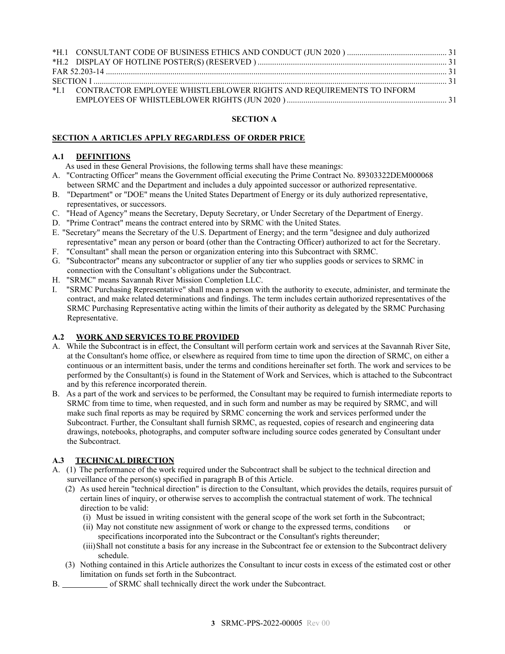| *I.1 CONTRACTOR EMPLOYEE WHISTLEBLOWER RIGHTS AND REQUIREMENTS TO INFORM |  |
|--------------------------------------------------------------------------|--|
|                                                                          |  |

#### **SECTION A**

### <span id="page-2-0"></span>**SECTION A ARTICLES APPLY REGARDLESS OF ORDER PRICE**

#### <span id="page-2-1"></span>**A.1 DEFINITIONS**

As used in these General Provisions, the following terms shall have these meanings:

- A. "Contracting Officer" means the Government official executing the Prime Contract No. 89303322DEM000068 between SRMC and the Department and includes a duly appointed successor or authorized representative.
- B. "Department" or "DOE" means the United States Department of Energy or its duly authorized representative, representatives, or successors.
- C. "Head of Agency" means the Secretary, Deputy Secretary, or Under Secretary of the Department of Energy.
- D. "Prime Contract" means the contract entered into by SRMC with the United States.
- E. "Secretary" means the Secretary of the U.S. Department of Energy; and the term "designee and duly authorized representative" mean any person or board (other than the Contracting Officer) authorized to act for the Secretary.
- F. "Consultant" shall mean the person or organization entering into this Subcontract with SRMC.
- G. "Subcontractor" means any subcontractor or supplier of any tier who supplies goods or services to SRMC in connection with the Consultant's obligations under the Subcontract.
- H. "SRMC" means Savannah River Mission Completion LLC.
- I. "SRMC Purchasing Representative" shall mean a person with the authority to execute, administer, and terminate the contract, and make related determinations and findings. The term includes certain authorized representatives of the SRMC Purchasing Representative acting within the limits of their authority as delegated by the SRMC Purchasing Representative.

### <span id="page-2-2"></span>**A.2 WORK AND SERVICES TO BE PROVIDED**

- A. While the Subcontract is in effect, the Consultant will perform certain work and services at the Savannah River Site, at the Consultant's home office, or elsewhere as required from time to time upon the direction of SRMC, on either a continuous or an intermittent basis, under the terms and conditions hereinafter set forth. The work and services to be performed by the Consultant(s) is found in the Statement of Work and Services, which is attached to the Subcontract and by this reference incorporated therein.
- B. As a part of the work and services to be performed, the Consultant may be required to furnish intermediate reports to SRMC from time to time, when requested, and in such form and number as may be required by SRMC, and will make such final reports as may be required by SRMC concerning the work and services performed under the Subcontract. Further, the Consultant shall furnish SRMC, as requested, copies of research and engineering data drawings, notebooks, photographs, and computer software including source codes generated by Consultant under the Subcontract.

## <span id="page-2-3"></span>**A.3 TECHNICAL DIRECTION**

- A. (1) The performance of the work required under the Subcontract shall be subject to the technical direction and surveillance of the person(s) specified in paragraph B of this Article.
	- (2) As used herein "technical direction" is direction to the Consultant, which provides the details, requires pursuit of certain lines of inquiry, or otherwise serves to accomplish the contractual statement of work. The technical direction to be valid:
		- (i) Must be issued in writing consistent with the general scope of the work set forth in the Subcontract;
		- (ii) May not constitute new assignment of work or change to the expressed terms, conditions or specifications incorporated into the Subcontract or the Consultant's rights thereunder;
		- (iii)Shall not constitute a basis for any increase in the Subcontract fee or extension to the Subcontract delivery schedule.
	- (3) Nothing contained in this Article authorizes the Consultant to incur costs in excess of the estimated cost or other limitation on funds set forth in the Subcontract.
- B. of SRMC shall technically direct the work under the Subcontract.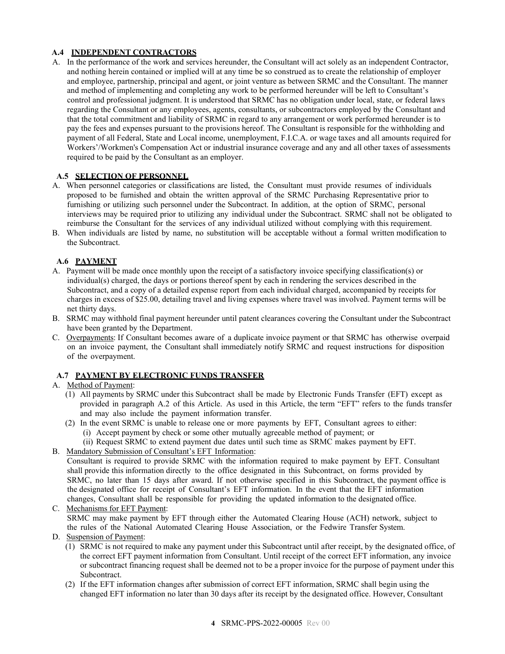# <span id="page-3-0"></span>**A.4 INDEPENDENT CONTRACTORS**

A. In the performance of the work and services hereunder, the Consultant will act solely as an independent Contractor, and nothing herein contained or implied will at any time be so construed as to create the relationship of employer and employee, partnership, principal and agent, or joint venture as between SRMC and the Consultant. The manner and method of implementing and completing any work to be performed hereunder will be left to Consultant's control and professional judgment. It is understood that SRMC has no obligation under local, state, or federal laws regarding the Consultant or any employees, agents, consultants, or subcontractors employed by the Consultant and that the total commitment and liability of SRMC in regard to any arrangement or work performed hereunder is to pay the fees and expenses pursuant to the provisions hereof. The Consultant is responsible for the withholding and payment of all Federal, State and Local income, unemployment, F.I.C.A. or wage taxes and all amounts required for Workers'/Workmen's Compensation Act or industrial insurance coverage and any and all other taxes of assessments required to be paid by the Consultant as an employer.

## <span id="page-3-1"></span>**A.5 SELECTION OF PERSONNEL**

- A. When personnel categories or classifications are listed, the Consultant must provide resumes of individuals proposed to be furnished and obtain the written approval of the SRMC Purchasing Representative prior to furnishing or utilizing such personnel under the Subcontract. In addition, at the option of SRMC, personal interviews may be required prior to utilizing any individual under the Subcontract. SRMC shall not be obligated to reimburse the Consultant for the services of any individual utilized without complying with this requirement.
- B. When individuals are listed by name, no substitution will be acceptable without a formal written modification to the Subcontract.

### <span id="page-3-2"></span>**A.6 PAYMENT**

- A. Payment will be made once monthly upon the receipt of a satisfactory invoice specifying classification(s) or individual(s) charged, the days or portions thereof spent by each in rendering the services described in the Subcontract, and a copy of a detailed expense report from each individual charged, accompanied by receipts for charges in excess of \$25.00, detailing travel and living expenses where travel was involved. Payment terms will be net thirty days.
- B. SRMC may withhold final payment hereunder until patent clearances covering the Consultant under the Subcontract have been granted by the Department.
- C. Overpayments: If Consultant becomes aware of a duplicate invoice payment or that SRMC has otherwise overpaid on an invoice payment, the Consultant shall immediately notify SRMC and request instructions for disposition of the overpayment.

#### <span id="page-3-3"></span>**A.7 PAYMENT BY ELECTRONIC FUNDS TRANSFER**

### A. Method of Payment:

- (1) All payments by SRMC under this Subcontract shall be made by Electronic Funds Transfer (EFT) except as provided in paragraph A.2 of this Article. As used in this Article, the term "EFT" refers to the funds transfer and may also include the payment information transfer.
- (2) In the event SRMC is unable to release one or more payments by EFT, Consultant agrees to either: (i) Accept payment by check or some other mutually agreeable method of payment; or
	- (ii) Request SRMC to extend payment due dates until such time as SRMC makes payment by EFT.
- B. Mandatory Submission of Consultant's EFT Information:

Consultant is required to provide SRMC with the information required to make payment by EFT. Consultant shall provide this information directly to the office designated in this Subcontract, on forms provided by SRMC, no later than 15 days after award. If not otherwise specified in this Subcontract, the payment office is the designated office for receipt of Consultant's EFT information. In the event that the EFT information changes, Consultant shall be responsible for providing the updated information to the designated office.

- C. Mechanisms for EFT Payment: SRMC may make payment by EFT through either the Automated Clearing House (ACH) network, subject to the rules of the National Automated Clearing House Association, or the Fedwire Transfer System.
- D. Suspension of Payment:
	- (1) SRMC is not required to make any payment under this Subcontract until after receipt, by the designated office, of the correct EFT payment information from Consultant. Until receipt of the correct EFT information, any invoice or subcontract financing request shall be deemed not to be a proper invoice for the purpose of payment under this Subcontract.
	- (2) If the EFT information changes after submission of correct EFT information, SRMC shall begin using the changed EFT information no later than 30 days after its receipt by the designated office. However, Consultant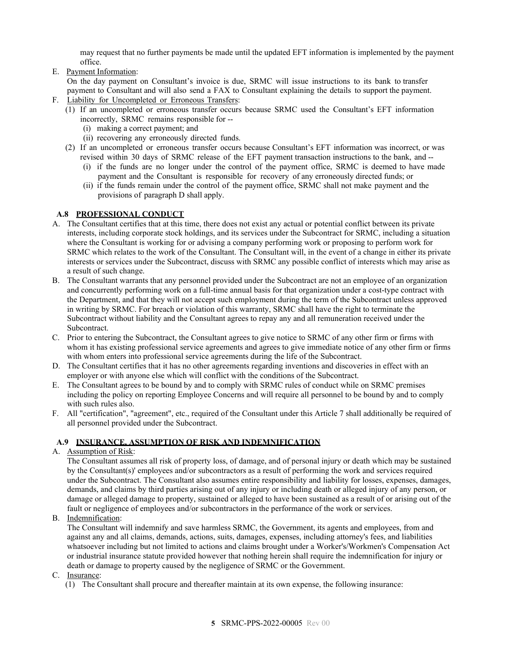may request that no further payments be made until the updated EFT information is implemented by the payment office.

E. Payment Information:

On the day payment on Consultant's invoice is due, SRMC will issue instructions to its bank to transfer payment to Consultant and will also send a FAX to Consultant explaining the details to support the payment.

- F. Liability for Uncompleted or Erroneous Transfers:
	- (1) If an uncompleted or erroneous transfer occurs because SRMC used the Consultant's EFT information incorrectly, SRMC remains responsible for --
		- (i) making a correct payment; and
		- (ii) recovering any erroneously directed funds.
	- (2) If an uncompleted or erroneous transfer occurs because Consultant's EFT information was incorrect, or was revised within 30 days of SRMC release of the EFT payment transaction instructions to the bank, and --
		- (i) if the funds are no longer under the control of the payment office, SRMC is deemed to have made payment and the Consultant is responsible for recovery of any erroneously directed funds; or
		- (ii) if the funds remain under the control of the payment office, SRMC shall not make payment and the provisions of paragraph D shall apply.

# <span id="page-4-0"></span>**A.8 PROFESSIONAL CONDUCT**

- A. The Consultant certifies that at this time, there does not exist any actual or potential conflict between its private interests, including corporate stock holdings, and its services under the Subcontract for SRMC, including a situation where the Consultant is working for or advising a company performing work or proposing to perform work for SRMC which relates to the work of the Consultant. The Consultant will, in the event of a change in either its private interests or services under the Subcontract, discuss with SRMC any possible conflict of interests which may arise as a result of such change.
- B. The Consultant warrants that any personnel provided under the Subcontract are not an employee of an organization and concurrently performing work on a full-time annual basis for that organization under a cost-type contract with the Department, and that they will not accept such employment during the term of the Subcontract unless approved in writing by SRMC. For breach or violation of this warranty, SRMC shall have the right to terminate the Subcontract without liability and the Consultant agrees to repay any and all remuneration received under the Subcontract.
- C. Prior to entering the Subcontract, the Consultant agrees to give notice to SRMC of any other firm or firms with whom it has existing professional service agreements and agrees to give immediate notice of any other firm or firms with whom enters into professional service agreements during the life of the Subcontract.
- D. The Consultant certifies that it has no other agreements regarding inventions and discoveries in effect with an employer or with anyone else which will conflict with the conditions of the Subcontract.
- E. The Consultant agrees to be bound by and to comply with SRMC rules of conduct while on SRMC premises including the policy on reporting Employee Concerns and will require all personnel to be bound by and to comply with such rules also.
- F. All "certification", "agreement", etc., required of the Consultant under this Article 7 shall additionally be required of all personnel provided under the Subcontract.

## <span id="page-4-1"></span>**A.9 INSURANCE, ASSUMPTION OF RISK AND INDEMNIFICATION**

## A. Assumption of Risk:

The Consultant assumes all risk of property loss, of damage, and of personal injury or death which may be sustained by the Consultant(s)' employees and/or subcontractors as a result of performing the work and services required under the Subcontract. The Consultant also assumes entire responsibility and liability for losses, expenses, damages, demands, and claims by third parties arising out of any injury or including death or alleged injury of any person, or damage or alleged damage to property, sustained or alleged to have been sustained as a result of or arising out of the fault or negligence of employees and/or subcontractors in the performance of the work or services.

B. Indemnification:

The Consultant will indemnify and save harmless SRMC, the Government, its agents and employees, from and against any and all claims, demands, actions, suits, damages, expenses, including attorney's fees, and liabilities whatsoever including but not limited to actions and claims brought under a Worker's/Workmen's Compensation Act or industrial insurance statute provided however that nothing herein shall require the indemnification for injury or death or damage to property caused by the negligence of SRMC or the Government.

- C. Insurance:
	- (1) The Consultant shall procure and thereafter maintain at its own expense, the following insurance: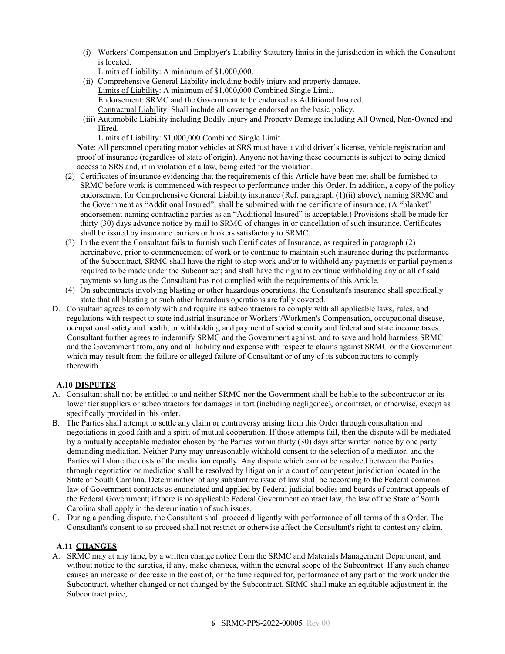(i) Workers' Compensation and Employer's Liability Statutory limits in the jurisdiction in which the Consultant is located.

Limits of Liability: A minimum of \$1,000,000.

- (ii) Comprehensive General Liability including bodily injury and property damage. Limits of Liability: A minimum of \$1,000,000 Combined Single Limit. Endorsement: SRMC and the Government to be endorsed as Additional Insured. Contractual Liability: Shall include all coverage endorsed on the basic policy.
- (iii) Automobile Liability including Bodily Injury and Property Damage including All Owned, Non-Owned and Hired.

Limits of Liability: \$1,000,000 Combined Single Limit.

**Note**: All personnel operating motor vehicles at SRS must have a valid driver's license, vehicle registration and proof of insurance (regardless of state of origin). Anyone not having these documents is subject to being denied access to SRS and, if in violation of a law, being cited for the violation.

- (2) Certificates of insurance evidencing that the requirements of this Article have been met shall be furnished to SRMC before work is commenced with respect to performance under this Order. In addition, a copy of the policy endorsement for Comprehensive General Liability insurance (Ref. paragraph (1)(ii) above), naming SRMC and the Government as "Additional Insured", shall be submitted with the certificate of insurance. (A "blanket" endorsement naming contracting parties as an "Additional Insured" is acceptable.) Provisions shall be made for thirty (30) days advance notice by mail to SRMC of changes in or cancellation of such insurance. Certificates shall be issued by insurance carriers or brokers satisfactory to SRMC.
- (3) In the event the Consultant fails to furnish such Certificates of Insurance, as required in paragraph (2) hereinabove, prior to commencement of work or to continue to maintain such insurance during the performance of the Subcontract, SRMC shall have the right to stop work and/or to withhold any payments or partial payments required to be made under the Subcontract; and shall have the right to continue withholding any or all of said payments so long as the Consultant has not complied with the requirements of this Article.
- (4) On subcontracts involving blasting or other hazardous operations, the Consultant's insurance shall specifically state that all blasting or such other hazardous operations are fully covered.
- D. Consultant agrees to comply with and require its subcontractors to comply with all applicable laws, rules, and regulations with respect to state industrial insurance or Workers'/Workmen's Compensation, occupational disease, occupational safety and health, or withholding and payment of social security and federal and state income taxes. Consultant further agrees to indemnify SRMC and the Government against, and to save and hold harmless SRMC and the Government from, any and all liability and expense with respect to claims against SRMC or the Government which may result from the failure or alleged failure of Consultant or of any of its subcontractors to comply therewith.

# <span id="page-5-0"></span>**A.10 DISPUTES**

- A. Consultant shall not be entitled to and neither SRMC nor the Government shall be liable to the subcontractor or its lower tier suppliers or subcontractors for damages in tort (including negligence), or contract, or otherwise, except as specifically provided in this order.
- B. The Parties shall attempt to settle any claim or controversy arising from this Order through consultation and negotiations in good faith and a spirit of mutual cooperation. If those attempts fail, then the dispute will be mediated by a mutually acceptable mediator chosen by the Parties within thirty (30) days after written notice by one party demanding mediation. Neither Party may unreasonably withhold consent to the selection of a mediator, and the Parties will share the costs of the mediation equally. Any dispute which cannot be resolved between the Parties through negotiation or mediation shall be resolved by litigation in a court of competent jurisdiction located in the State of South Carolina. Determination of any substantive issue of law shall be according to the Federal common law of Government contracts as enunciated and applied by Federal judicial bodies and boards of contract appeals of the Federal Government; if there is no applicable Federal Government contract law, the law of the State of South Carolina shall apply in the determination of such issues.
- C. During a pending dispute, the Consultant shall proceed diligently with performance of all terms of this Order. The Consultant's consent to so proceed shall not restrict or otherwise affect the Consultant's right to contest any claim.

## <span id="page-5-1"></span>**A.11 CHANGES**

A. SRMC may at any time, by a written change notice from the SRMC and Materials Management Department, and without notice to the sureties, if any, make changes, within the general scope of the Subcontract. If any such change causes an increase or decrease in the cost of, or the time required for, performance of any part of the work under the Subcontract, whether changed or not changed by the Subcontract, SRMC shall make an equitable adjustment in the Subcontract price,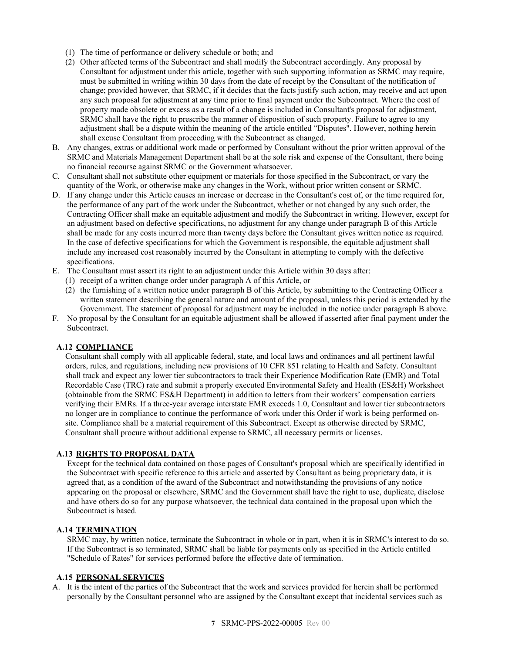- (1) The time of performance or delivery schedule or both; and
- (2) Other affected terms of the Subcontract and shall modify the Subcontract accordingly. Any proposal by Consultant for adjustment under this article, together with such supporting information as SRMC may require, must be submitted in writing within 30 days from the date of receipt by the Consultant of the notification of change; provided however, that SRMC, if it decides that the facts justify such action, may receive and act upon any such proposal for adjustment at any time prior to final payment under the Subcontract. Where the cost of property made obsolete or excess as a result of a change is included in Consultant's proposal for adjustment, SRMC shall have the right to prescribe the manner of disposition of such property. Failure to agree to any adjustment shall be a dispute within the meaning of the article entitled "Disputes". However, nothing herein shall excuse Consultant from proceeding with the Subcontract as changed.
- B. Any changes, extras or additional work made or performed by Consultant without the prior written approval of the SRMC and Materials Management Department shall be at the sole risk and expense of the Consultant, there being no financial recourse against SRMC or the Government whatsoever.
- C. Consultant shall not substitute other equipment or materials for those specified in the Subcontract, or vary the quantity of the Work, or otherwise make any changes in the Work, without prior written consent or SRMC.
- D. If any change under this Article causes an increase or decrease in the Consultant's cost of, or the time required for, the performance of any part of the work under the Subcontract, whether or not changed by any such order, the Contracting Officer shall make an equitable adjustment and modify the Subcontract in writing. However, except for an adjustment based on defective specifications, no adjustment for any change under paragraph B of this Article shall be made for any costs incurred more than twenty days before the Consultant gives written notice as required. In the case of defective specifications for which the Government is responsible, the equitable adjustment shall include any increased cost reasonably incurred by the Consultant in attempting to comply with the defective specifications.
- E. The Consultant must assert its right to an adjustment under this Article within 30 days after:
- (1) receipt of a written change order under paragraph A of this Article, or
	- (2) the furnishing of a written notice under paragraph B of this Article, by submitting to the Contracting Officer a written statement describing the general nature and amount of the proposal, unless this period is extended by the Government. The statement of proposal for adjustment may be included in the notice under paragraph B above.
- F. No proposal by the Consultant for an equitable adjustment shall be allowed if asserted after final payment under the Subcontract.

#### <span id="page-6-0"></span>**A.12 COMPLIANCE**

Consultant shall comply with all applicable federal, state, and local laws and ordinances and all pertinent lawful orders, rules, and regulations, including new provisions of 10 CFR 851 relating to Health and Safety. Consultant shall track and expect any lower tier subcontractors to track their Experience Modification Rate (EMR) and Total Recordable Case (TRC) rate and submit a properly executed Environmental Safety and Health (ES&H) Worksheet (obtainable from the SRMC ES&H Department) in addition to letters from their workers' compensation carriers verifying their EMRs. If a three-year average interstate EMR exceeds 1.0, Consultant and lower tier subcontractors no longer are in compliance to continue the performance of work under this Order if work is being performed onsite. Compliance shall be a material requirement of this Subcontract. Except as otherwise directed by SRMC, Consultant shall procure without additional expense to SRMC, all necessary permits or licenses.

## <span id="page-6-1"></span>**A.13 RIGHTS TO PROPOSAL DATA**

Except for the technical data contained on those pages of Consultant's proposal which are specifically identified in the Subcontract with specific reference to this article and asserted by Consultant as being proprietary data, it is agreed that, as a condition of the award of the Subcontract and notwithstanding the provisions of any notice appearing on the proposal or elsewhere, SRMC and the Government shall have the right to use, duplicate, disclose and have others do so for any purpose whatsoever, the technical data contained in the proposal upon which the Subcontract is based.

#### <span id="page-6-2"></span>**A.14 TERMINATION**

SRMC may, by written notice, terminate the Subcontract in whole or in part, when it is in SRMC's interest to do so. If the Subcontract is so terminated, SRMC shall be liable for payments only as specified in the Article entitled "Schedule of Rates" for services performed before the effective date of termination.

#### <span id="page-6-3"></span>**A.15 PERSONAL SERVICES**

A. It is the intent of the parties of the Subcontract that the work and services provided for herein shall be performed personally by the Consultant personnel who are assigned by the Consultant except that incidental services such as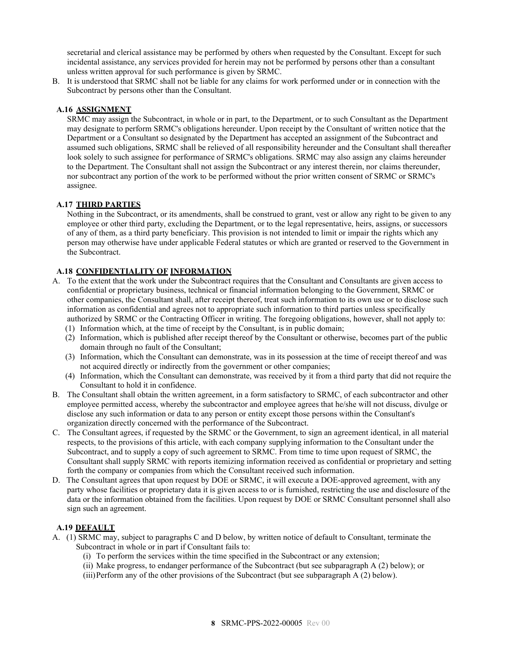secretarial and clerical assistance may be performed by others when requested by the Consultant. Except for such incidental assistance, any services provided for herein may not be performed by persons other than a consultant unless written approval for such performance is given by SRMC.

B. It is understood that SRMC shall not be liable for any claims for work performed under or in connection with the Subcontract by persons other than the Consultant.

## <span id="page-7-0"></span>**A.16 ASSIGNMENT**

SRMC may assign the Subcontract, in whole or in part, to the Department, or to such Consultant as the Department may designate to perform SRMC's obligations hereunder. Upon receipt by the Consultant of written notice that the Department or a Consultant so designated by the Department has accepted an assignment of the Subcontract and assumed such obligations, SRMC shall be relieved of all responsibility hereunder and the Consultant shall thereafter look solely to such assignee for performance of SRMC's obligations. SRMC may also assign any claims hereunder to the Department. The Consultant shall not assign the Subcontract or any interest therein, nor claims thereunder, nor subcontract any portion of the work to be performed without the prior written consent of SRMC or SRMC's assignee.

## <span id="page-7-1"></span>**A.17 THIRD PARTIES**

Nothing in the Subcontract, or its amendments, shall be construed to grant, vest or allow any right to be given to any employee or other third party, excluding the Department, or to the legal representative, heirs, assigns, or successors of any of them, as a third party beneficiary. This provision is not intended to limit or impair the rights which any person may otherwise have under applicable Federal statutes or which are granted or reserved to the Government in the Subcontract.

## <span id="page-7-2"></span>**A.18 CONFIDENTIALITY OF INFORMATION**

- A. To the extent that the work under the Subcontract requires that the Consultant and Consultants are given access to confidential or proprietary business, technical or financial information belonging to the Government, SRMC or other companies, the Consultant shall, after receipt thereof, treat such information to its own use or to disclose such information as confidential and agrees not to appropriate such information to third parties unless specifically authorized by SRMC or the Contracting Officer in writing. The foregoing obligations, however, shall not apply to:
	- (1) Information which, at the time of receipt by the Consultant, is in public domain;
	- (2) Information, which is published after receipt thereof by the Consultant or otherwise, becomes part of the public domain through no fault of the Consultant;
	- (3) Information, which the Consultant can demonstrate, was in its possession at the time of receipt thereof and was not acquired directly or indirectly from the government or other companies;
	- (4) Information, which the Consultant can demonstrate, was received by it from a third party that did not require the Consultant to hold it in confidence.
- B. The Consultant shall obtain the written agreement, in a form satisfactory to SRMC, of each subcontractor and other employee permitted access, whereby the subcontractor and employee agrees that he/she will not discuss, divulge or disclose any such information or data to any person or entity except those persons within the Consultant's organization directly concerned with the performance of the Subcontract.
- C. The Consultant agrees, if requested by the SRMC or the Government, to sign an agreement identical, in all material respects, to the provisions of this article, with each company supplying information to the Consultant under the Subcontract, and to supply a copy of such agreement to SRMC. From time to time upon request of SRMC, the Consultant shall supply SRMC with reports itemizing information received as confidential or proprietary and setting forth the company or companies from which the Consultant received such information.
- D. The Consultant agrees that upon request by DOE or SRMC, it will execute a DOE-approved agreement, with any party whose facilities or proprietary data it is given access to or is furnished, restricting the use and disclosure of the data or the information obtained from the facilities. Upon request by DOE or SRMC Consultant personnel shall also sign such an agreement.

## <span id="page-7-3"></span>**A.19 DEFAULT**

- A. (1) SRMC may, subject to paragraphs C and D below, by written notice of default to Consultant, terminate the Subcontract in whole or in part if Consultant fails to:
	- (i) To perform the services within the time specified in the Subcontract or any extension;
	- (ii) Make progress, to endanger performance of the Subcontract (but see subparagraph A (2) below); or
	- (iii)Perform any of the other provisions of the Subcontract (but see subparagraph A (2) below).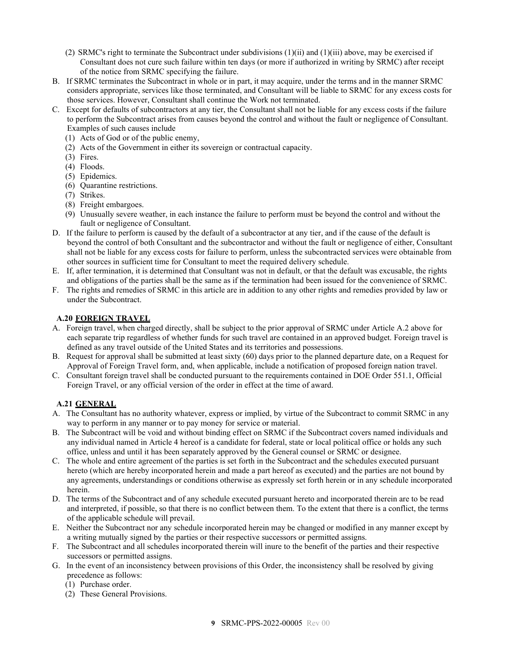- (2) SRMC's right to terminate the Subcontract under subdivisions  $(1)(ii)$  and  $(1)(iii)$  above, may be exercised if Consultant does not cure such failure within ten days (or more if authorized in writing by SRMC) after receipt of the notice from SRMC specifying the failure.
- B. If SRMC terminates the Subcontract in whole or in part, it may acquire, under the terms and in the manner SRMC considers appropriate, services like those terminated, and Consultant will be liable to SRMC for any excess costs for those services. However, Consultant shall continue the Work not terminated.
- C. Except for defaults of subcontractors at any tier, the Consultant shall not be liable for any excess costs if the failure to perform the Subcontract arises from causes beyond the control and without the fault or negligence of Consultant. Examples of such causes include
	- (1) Acts of God or of the public enemy,
	- (2) Acts of the Government in either its sovereign or contractual capacity.
	- (3) Fires.
	- (4) Floods.
	- (5) Epidemics.
	- (6) Quarantine restrictions.
	- (7) Strikes.
	- (8) Freight embargoes.
	- (9) Unusually severe weather, in each instance the failure to perform must be beyond the control and without the fault or negligence of Consultant.
- D. If the failure to perform is caused by the default of a subcontractor at any tier, and if the cause of the default is beyond the control of both Consultant and the subcontractor and without the fault or negligence of either, Consultant shall not be liable for any excess costs for failure to perform, unless the subcontracted services were obtainable from other sources in sufficient time for Consultant to meet the required delivery schedule.
- E. If, after termination, it is determined that Consultant was not in default, or that the default was excusable, the rights and obligations of the parties shall be the same as if the termination had been issued for the convenience of SRMC.
- F. The rights and remedies of SRMC in this article are in addition to any other rights and remedies provided by law or under the Subcontract.

# <span id="page-8-0"></span>**A.20 FOREIGN TRAVEL**

- A. Foreign travel, when charged directly, shall be subject to the prior approval of SRMC under Article A.2 above for each separate trip regardless of whether funds for such travel are contained in an approved budget. Foreign travel is defined as any travel outside of the United States and its territories and possessions.
- B. Request for approval shall be submitted at least sixty (60) days prior to the planned departure date, on a Request for Approval of Foreign Travel form, and, when applicable, include a notification of proposed foreign nation travel.
- C. Consultant foreign travel shall be conducted pursuant to the requirements contained in DOE Order 551.1, Official Foreign Travel, or any official version of the order in effect at the time of award.

# <span id="page-8-1"></span>**A.21 GENERAL**

- A. The Consultant has no authority whatever, express or implied, by virtue of the Subcontract to commit SRMC in any way to perform in any manner or to pay money for service or material.
- B. The Subcontract will be void and without binding effect on SRMC if the Subcontract covers named individuals and any individual named in Article 4 hereof is a candidate for federal, state or local political office or holds any such office, unless and until it has been separately approved by the General counsel or SRMC or designee.
- C. The whole and entire agreement of the parties is set forth in the Subcontract and the schedules executed pursuant hereto (which are hereby incorporated herein and made a part hereof as executed) and the parties are not bound by any agreements, understandings or conditions otherwise as expressly set forth herein or in any schedule incorporated herein.
- D. The terms of the Subcontract and of any schedule executed pursuant hereto and incorporated therein are to be read and interpreted, if possible, so that there is no conflict between them. To the extent that there is a conflict, the terms of the applicable schedule will prevail.
- E. Neither the Subcontract nor any schedule incorporated herein may be changed or modified in any manner except by a writing mutually signed by the parties or their respective successors or permitted assigns.
- F. The Subcontract and all schedules incorporated therein will inure to the benefit of the parties and their respective successors or permitted assigns.
- G. In the event of an inconsistency between provisions of this Order, the inconsistency shall be resolved by giving precedence as follows:
	- (1) Purchase order.
	- (2) These General Provisions.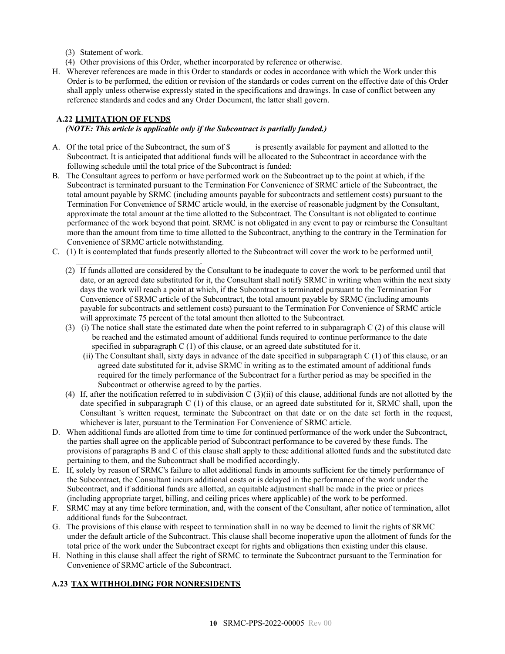- (3) Statement of work.
- (4) Other provisions of this Order, whether incorporated by reference or otherwise.
- H. Wherever references are made in this Order to standards or codes in accordance with which the Work under this Order is to be performed, the edition or revision of the standards or codes current on the effective date of this Order shall apply unless otherwise expressly stated in the specifications and drawings. In case of conflict between any reference standards and codes and any Order Document, the latter shall govern.

# <span id="page-9-0"></span>**A.22 LIMITATION OF FUNDS**

### *(NOTE: This article is applicable only if the Subcontract is partially funded.)*

- A. Of the total price of the Subcontract, the sum of \$<br>is presently available for payment and allotted to the Subcontract. It is anticipated that additional funds will be allocated to the Subcontract in accordance with the following schedule until the total price of the Subcontract is funded:
- B. The Consultant agrees to perform or have performed work on the Subcontract up to the point at which, if the Subcontract is terminated pursuant to the Termination For Convenience of SRMC article of the Subcontract, the total amount payable by SRMC (including amounts payable for subcontracts and settlement costs) pursuant to the Termination For Convenience of SRMC article would, in the exercise of reasonable judgment by the Consultant, approximate the total amount at the time allotted to the Subcontract. The Consultant is not obligated to continue performance of the work beyond that point. SRMC is not obligated in any event to pay or reimburse the Consultant more than the amount from time to time allotted to the Subcontract, anything to the contrary in the Termination for Convenience of SRMC article notwithstanding.
- C. (1) It is contemplated that funds presently allotted to the Subcontract will cover the work to be performed until
	- . (2) If funds allotted are considered by the Consultant to be inadequate to cover the work to be performed until that date, or an agreed date substituted for it, the Consultant shall notify SRMC in writing when within the next sixty days the work will reach a point at which, if the Subcontract is terminated pursuant to the Termination For Convenience of SRMC article of the Subcontract, the total amount payable by SRMC (including amounts payable for subcontracts and settlement costs) pursuant to the Termination For Convenience of SRMC article will approximate 75 percent of the total amount then allotted to the Subcontract.
	- (3) (i) The notice shall state the estimated date when the point referred to in subparagraph C (2) of this clause will be reached and the estimated amount of additional funds required to continue performance to the date specified in subparagraph C (1) of this clause, or an agreed date substituted for it.
		- (ii) The Consultant shall, sixty days in advance of the date specified in subparagraph C (1) of this clause, or an agreed date substituted for it, advise SRMC in writing as to the estimated amount of additional funds required for the timely performance of the Subcontract for a further period as may be specified in the Subcontract or otherwise agreed to by the parties.
	- (4) If, after the notification referred to in subdivision C (3)(ii) of this clause, additional funds are not allotted by the date specified in subparagraph C (1) of this clause, or an agreed date substituted for it, SRMC shall, upon the Consultant 's written request, terminate the Subcontract on that date or on the date set forth in the request, whichever is later, pursuant to the Termination For Convenience of SRMC article.
- D. When additional funds are allotted from time to time for continued performance of the work under the Subcontract, the parties shall agree on the applicable period of Subcontract performance to be covered by these funds. The provisions of paragraphs B and C of this clause shall apply to these additional allotted funds and the substituted date pertaining to them, and the Subcontract shall be modified accordingly.
- E. If, solely by reason of SRMC's failure to allot additional funds in amounts sufficient for the timely performance of the Subcontract, the Consultant incurs additional costs or is delayed in the performance of the work under the Subcontract, and if additional funds are allotted, an equitable adjustment shall be made in the price or prices (including appropriate target, billing, and ceiling prices where applicable) of the work to be performed.
- F. SRMC may at any time before termination, and, with the consent of the Consultant, after notice of termination, allot additional funds for the Subcontract.
- G. The provisions of this clause with respect to termination shall in no way be deemed to limit the rights of SRMC under the default article of the Subcontract. This clause shall become inoperative upon the allotment of funds for the total price of the work under the Subcontract except for rights and obligations then existing under this clause.
- H. Nothing in this clause shall affect the right of SRMC to terminate the Subcontract pursuant to the Termination for Convenience of SRMC article of the Subcontract.

# <span id="page-9-1"></span>**A.23 TAX WITHHOLDING FOR NONRESIDENTS**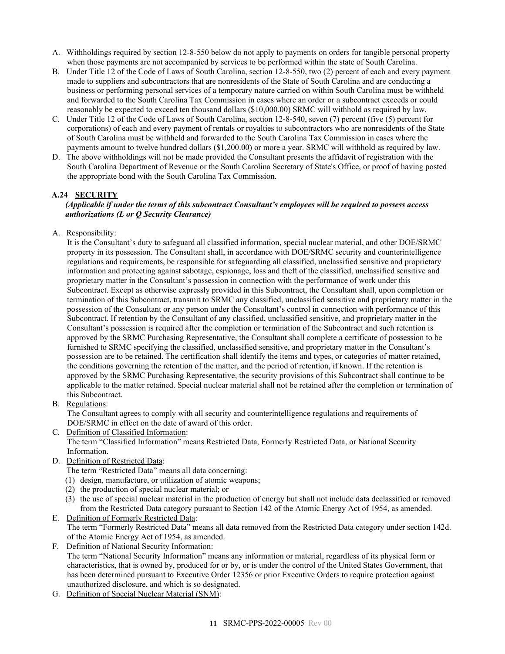- A. Withholdings required by section 12-8-550 below do not apply to payments on orders for tangible personal property when those payments are not accompanied by services to be performed within the state of South Carolina.
- B. Under Title 12 of the Code of Laws of South Carolina, section 12-8-550, two (2) percent of each and every payment made to suppliers and subcontractors that are nonresidents of the State of South Carolina and are conducting a business or performing personal services of a temporary nature carried on within South Carolina must be withheld and forwarded to the South Carolina Tax Commission in cases where an order or a subcontract exceeds or could reasonably be expected to exceed ten thousand dollars (\$10,000.00) SRMC will withhold as required by law.
- C. Under Title 12 of the Code of Laws of South Carolina, section 12-8-540, seven (7) percent (five (5) percent for corporations) of each and every payment of rentals or royalties to subcontractors who are nonresidents of the State of South Carolina must be withheld and forwarded to the South Carolina Tax Commission in cases where the payments amount to twelve hundred dollars (\$1,200.00) or more a year. SRMC will withhold as required by law.
- D. The above withholdings will not be made provided the Consultant presents the affidavit of registration with the South Carolina Department of Revenue or the South Carolina Secretary of State's Office, or proof of having posted the appropriate bond with the South Carolina Tax Commission.

# <span id="page-10-0"></span>**A.24 SECURITY**

### *(Applicable if under the terms of this subcontract Consultant's employees will be required to possess access authorizations (L or Q Security Clearance)*

A. Responsibility:

It is the Consultant's duty to safeguard all classified information, special nuclear material, and other DOE/SRMC property in its possession. The Consultant shall, in accordance with DOE/SRMC security and counterintelligence regulations and requirements, be responsible for safeguarding all classified, unclassified sensitive and proprietary information and protecting against sabotage, espionage, loss and theft of the classified, unclassified sensitive and proprietary matter in the Consultant's possession in connection with the performance of work under this Subcontract. Except as otherwise expressly provided in this Subcontract, the Consultant shall, upon completion or termination of this Subcontract, transmit to SRMC any classified, unclassified sensitive and proprietary matter in the possession of the Consultant or any person under the Consultant's control in connection with performance of this Subcontract. If retention by the Consultant of any classified, unclassified sensitive, and proprietary matter in the Consultant's possession is required after the completion or termination of the Subcontract and such retention is approved by the SRMC Purchasing Representative, the Consultant shall complete a certificate of possession to be furnished to SRMC specifying the classified, unclassified sensitive, and proprietary matter in the Consultant's possession are to be retained. The certification shall identify the items and types, or categories of matter retained, the conditions governing the retention of the matter, and the period of retention, if known. If the retention is approved by the SRMC Purchasing Representative, the security provisions of this Subcontract shall continue to be applicable to the matter retained. Special nuclear material shall not be retained after the completion or termination of this Subcontract.

B. Regulations:

The Consultant agrees to comply with all security and counterintelligence regulations and requirements of DOE/SRMC in effect on the date of award of this order.

C. Definition of Classified Information:

The term "Classified Information" means Restricted Data, Formerly Restricted Data, or National Security Information.

D. Definition of Restricted Data:

The term "Restricted Data" means all data concerning:

- (1) design, manufacture, or utilization of atomic weapons;
- (2) the production of special nuclear material; or
- (3) the use of special nuclear material in the production of energy but shall not include data declassified or removed from the Restricted Data category pursuant to Section 142 of the Atomic Energy Act of 1954, as amended.
- E. Definition of Formerly Restricted Data: The term "Formerly Restricted Data" means all data removed from the Restricted Data category under section 142d. of the Atomic Energy Act of 1954, as amended.
- F. Definition of National Security Information: The term "National Security Information" means any information or material, regardless of its physical form or characteristics, that is owned by, produced for or by, or is under the control of the United States Government, that has been determined pursuant to Executive Order 12356 or prior Executive Orders to require protection against unauthorized disclosure, and which is so designated.
- G. Definition of Special Nuclear Material (SNM):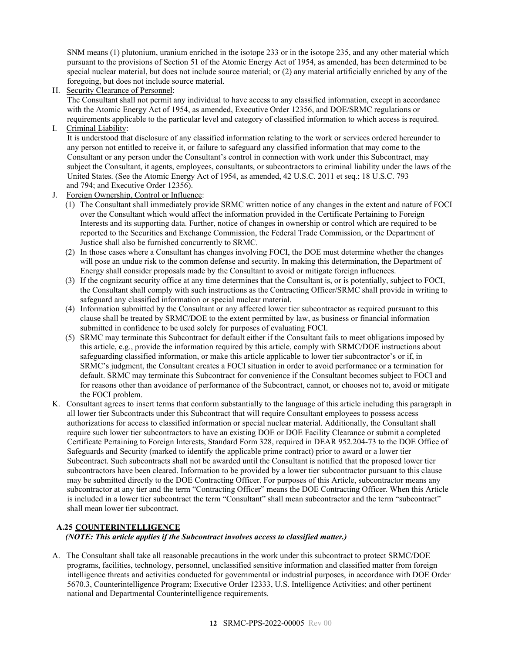SNM means (1) plutonium, uranium enriched in the isotope 233 or in the isotope 235, and any other material which pursuant to the provisions of Section 51 of the Atomic Energy Act of 1954, as amended, has been determined to be special nuclear material, but does not include source material; or (2) any material artificially enriched by any of the foregoing, but does not include source material.

H. Security Clearance of Personnel:

The Consultant shall not permit any individual to have access to any classified information, except in accordance with the Atomic Energy Act of 1954, as amended, Executive Order 12356, and DOE/SRMC regulations or requirements applicable to the particular level and category of classified information to which access is required.

I. Criminal Liability:

It is understood that disclosure of any classified information relating to the work or services ordered hereunder to any person not entitled to receive it, or failure to safeguard any classified information that may come to the Consultant or any person under the Consultant's control in connection with work under this Subcontract, may subject the Consultant, it agents, employees, consultants, or subcontractors to criminal liability under the laws of the United States. (See the Atomic Energy Act of 1954, as amended, 42 U.S.C. 2011 et seq.; 18 U.S.C. 793 and 794; and Executive Order 12356).

- J. Foreign Ownership, Control or Influence:
	- (1) The Consultant shall immediately provide SRMC written notice of any changes in the extent and nature of FOCI over the Consultant which would affect the information provided in the Certificate Pertaining to Foreign Interests and its supporting data. Further, notice of changes in ownership or control which are required to be reported to the Securities and Exchange Commission, the Federal Trade Commission, or the Department of Justice shall also be furnished concurrently to SRMC.
	- (2) In those cases where a Consultant has changes involving FOCI, the DOE must determine whether the changes will pose an undue risk to the common defense and security. In making this determination, the Department of Energy shall consider proposals made by the Consultant to avoid or mitigate foreign influences.
	- (3) If the cognizant security office at any time determines that the Consultant is, or is potentially, subject to FOCI, the Consultant shall comply with such instructions as the Contracting Officer/SRMC shall provide in writing to safeguard any classified information or special nuclear material.
	- (4) Information submitted by the Consultant or any affected lower tier subcontractor as required pursuant to this clause shall be treated by SRMC/DOE to the extent permitted by law, as business or financial information submitted in confidence to be used solely for purposes of evaluating FOCI.
	- (5) SRMC may terminate this Subcontract for default either if the Consultant fails to meet obligations imposed by this article, e.g., provide the information required by this article, comply with SRMC/DOE instructions about safeguarding classified information, or make this article applicable to lower tier subcontractor's or if, in SRMC's judgment, the Consultant creates a FOCI situation in order to avoid performance or a termination for default. SRMC may terminate this Subcontract for convenience if the Consultant becomes subject to FOCI and for reasons other than avoidance of performance of the Subcontract, cannot, or chooses not to, avoid or mitigate the FOCI problem.
- K. Consultant agrees to insert terms that conform substantially to the language of this article including this paragraph in all lower tier Subcontracts under this Subcontract that will require Consultant employees to possess access authorizations for access to classified information or special nuclear material. Additionally, the Consultant shall require such lower tier subcontractors to have an existing DOE or DOE Facility Clearance or submit a completed Certificate Pertaining to Foreign Interests, Standard Form 328, required in DEAR 952.204-73 to the DOE Office of Safeguards and Security (marked to identify the applicable prime contract) prior to award or a lower tier Subcontract. Such subcontracts shall not be awarded until the Consultant is notified that the proposed lower tier subcontractors have been cleared. Information to be provided by a lower tier subcontractor pursuant to this clause may be submitted directly to the DOE Contracting Officer. For purposes of this Article, subcontractor means any subcontractor at any tier and the term "Contracting Officer" means the DOE Contracting Officer. When this Article is included in a lower tier subcontract the term "Consultant" shall mean subcontractor and the term "subcontract" shall mean lower tier subcontract.

# <span id="page-11-0"></span>**A.25 COUNTERINTELLIGENCE**

## *(NOTE: This article applies if the Subcontract involves access to classified matter.)*

A. The Consultant shall take all reasonable precautions in the work under this subcontract to protect SRMC/DOE programs, facilities, technology, personnel, unclassified sensitive information and classified matter from foreign intelligence threats and activities conducted for governmental or industrial purposes, in accordance with DOE Order 5670.3, Counterintelligence Program; Executive Order 12333, U.S. Intelligence Activities; and other pertinent national and Departmental Counterintelligence requirements.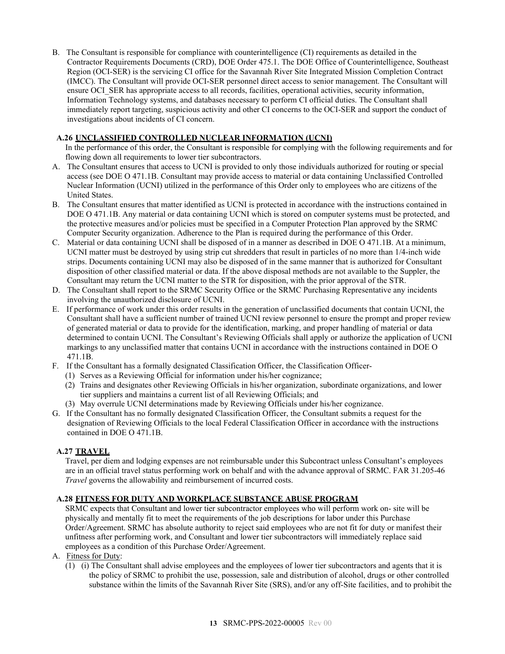B. The Consultant is responsible for compliance with counterintelligence (CI) requirements as detailed in the Contractor Requirements Documents (CRD), DOE Order 475.1. The DOE Office of Counterintelligence, Southeast Region (OCI-SER) is the servicing CI office for the Savannah River Site Integrated Mission Completion Contract (IMCC). The Consultant will provide OCI-SER personnel direct access to senior management. The Consultant will ensure OCI\_SER has appropriate access to all records, facilities, operational activities, security information, Information Technology systems, and databases necessary to perform CI official duties. The Consultant shall immediately report targeting, suspicious activity and other CI concerns to the OCI-SER and support the conduct of investigations about incidents of CI concern.

# <span id="page-12-0"></span>**A.26 UNCLASSIFIED CONTROLLED NUCLEAR INFORMATION (UCNI)**

In the performance of this order, the Consultant is responsible for complying with the following requirements and for flowing down all requirements to lower tier subcontractors.

- A. The Consultant ensures that access to UCNI is provided to only those individuals authorized for routing or special access (see DOE O 471.1B. Consultant may provide access to material or data containing Unclassified Controlled Nuclear Information (UCNI) utilized in the performance of this Order only to employees who are citizens of the United States.
- B. The Consultant ensures that matter identified as UCNI is protected in accordance with the instructions contained in DOE O 471.1B. Any material or data containing UCNI which is stored on computer systems must be protected, and the protective measures and/or policies must be specified in a Computer Protection Plan approved by the SRMC Computer Security organization. Adherence to the Plan is required during the performance of this Order.
- C. Material or data containing UCNI shall be disposed of in a manner as described in DOE O 471.1B. At a minimum, UCNI matter must be destroyed by using strip cut shredders that result in particles of no more than 1/4-inch wide strips. Documents containing UCNI may also be disposed of in the same manner that is authorized for Consultant disposition of other classified material or data. If the above disposal methods are not available to the Suppler, the Consultant may return the UCNI matter to the STR for disposition, with the prior approval of the STR.
- D. The Consultant shall report to the SRMC Security Office or the SRMC Purchasing Representative any incidents involving the unauthorized disclosure of UCNI.
- E. If performance of work under this order results in the generation of unclassified documents that contain UCNI, the Consultant shall have a sufficient number of trained UCNI review personnel to ensure the prompt and proper review of generated material or data to provide for the identification, marking, and proper handling of material or data determined to contain UCNI. The Consultant's Reviewing Officials shall apply or authorize the application of UCNI markings to any unclassified matter that contains UCNI in accordance with the instructions contained in DOE O 471.1B.
- F. If the Consultant has a formally designated Classification Officer, the Classification Officer-
	- (1) Serves as a Reviewing Official for information under his/her cognizance;
		- (2) Trains and designates other Reviewing Officials in his/her organization, subordinate organizations, and lower tier suppliers and maintains a current list of all Reviewing Officials; and
		- (3) May overrule UCNI determinations made by Reviewing Officials under his/her cognizance.
- G. If the Consultant has no formally designated Classification Officer, the Consultant submits a request for the designation of Reviewing Officials to the local Federal Classification Officer in accordance with the instructions contained in DOE O 471.1B.

## <span id="page-12-1"></span>**A.27 TRAVEL**

Travel, per diem and lodging expenses are not reimbursable under this Subcontract unless Consultant's employees are in an official travel status performing work on behalf and with the advance approval of SRMC. FAR 31.205-46 *Travel* governs the allowability and reimbursement of incurred costs.

## <span id="page-12-2"></span>**A.28 FITNESS FOR DUTY AND WORKPLACE SUBSTANCE ABUSE PROGRAM**

SRMC expects that Consultant and lower tier subcontractor employees who will perform work on- site will be physically and mentally fit to meet the requirements of the job descriptions for labor under this Purchase Order/Agreement. SRMC has absolute authority to reject said employees who are not fit for duty or manifest their unfitness after performing work, and Consultant and lower tier subcontractors will immediately replace said employees as a condition of this Purchase Order/Agreement.

- A. Fitness for Duty:
	- (1) (i) The Consultant shall advise employees and the employees of lower tier subcontractors and agents that it is the policy of SRMC to prohibit the use, possession, sale and distribution of alcohol, drugs or other controlled substance within the limits of the Savannah River Site (SRS), and/or any off-Site facilities, and to prohibit the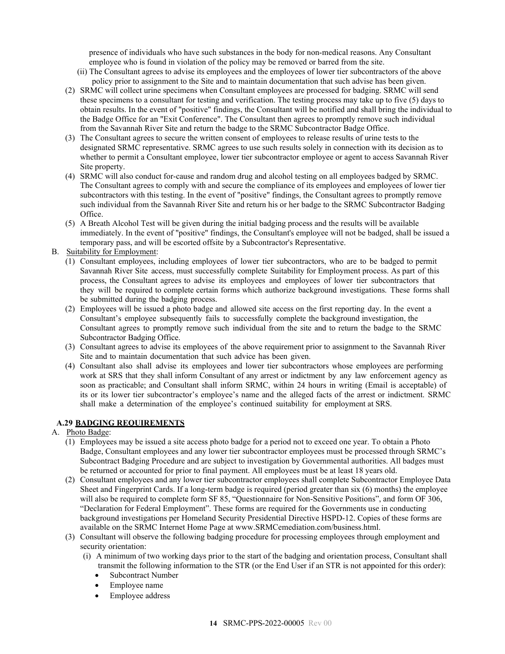presence of individuals who have such substances in the body for non-medical reasons. Any Consultant employee who is found in violation of the policy may be removed or barred from the site.

- (ii) The Consultant agrees to advise its employees and the employees of lower tier subcontractors of the above policy prior to assignment to the Site and to maintain documentation that such advise has been given.
- (2) SRMC will collect urine specimens when Consultant employees are processed for badging. SRMC will send these specimens to a consultant for testing and verification. The testing process may take up to five (5) days to obtain results. In the event of "positive" findings, the Consultant will be notified and shall bring the individual to the Badge Office for an "Exit Conference". The Consultant then agrees to promptly remove such individual from the Savannah River Site and return the badge to the SRMC Subcontractor Badge Office.
- (3) The Consultant agrees to secure the written consent of employees to release results of urine tests to the designated SRMC representative. SRMC agrees to use such results solely in connection with its decision as to whether to permit a Consultant employee, lower tier subcontractor employee or agent to access Savannah River Site property.
- (4) SRMC will also conduct for-cause and random drug and alcohol testing on all employees badged by SRMC. The Consultant agrees to comply with and secure the compliance of its employees and employees of lower tier subcontractors with this testing. In the event of "positive" findings, the Consultant agrees to promptly remove such individual from the Savannah River Site and return his or her badge to the SRMC Subcontractor Badging Office.
- (5) A Breath Alcohol Test will be given during the initial badging process and the results will be available immediately. In the event of "positive" findings, the Consultant's employee will not be badged, shall be issued a temporary pass, and will be escorted offsite by a Subcontractor's Representative.
- B. Suitability for Employment:
	- (1) Consultant employees, including employees of lower tier subcontractors, who are to be badged to permit Savannah River Site access, must successfully complete Suitability for Employment process. As part of this process, the Consultant agrees to advise its employees and employees of lower tier subcontractors that they will be required to complete certain forms which authorize background investigations. These forms shall be submitted during the badging process.
	- (2) Employees will be issued a photo badge and allowed site access on the first reporting day. In the event a Consultant's employee subsequently fails to successfully complete the background investigation, the Consultant agrees to promptly remove such individual from the site and to return the badge to the SRMC Subcontractor Badging Office.
	- (3) Consultant agrees to advise its employees of the above requirement prior to assignment to the Savannah River Site and to maintain documentation that such advice has been given.
	- (4) Consultant also shall advise its employees and lower tier subcontractors whose employees are performing work at SRS that they shall inform Consultant of any arrest or indictment by any law enforcement agency as soon as practicable; and Consultant shall inform SRMC, within 24 hours in writing (Email is acceptable) of its or its lower tier subcontractor's employee's name and the alleged facts of the arrest or indictment. SRMC shall make a determination of the employee's continued suitability for employment at SRS.

# <span id="page-13-0"></span>**A.29 BADGING REQUIREMENTS**

- A. Photo Badge:
	- (1) Employees may be issued a site access photo badge for a period not to exceed one year. To obtain a Photo Badge, Consultant employees and any lower tier subcontractor employees must be processed through SRMC's Subcontract Badging Procedure and are subject to investigation by Governmental authorities. All badges must be returned or accounted for prior to final payment. All employees must be at least 18 years old.
	- (2) Consultant employees and any lower tier subcontractor employees shall complete Subcontractor Employee Data Sheet and Fingerprint Cards. If a long-term badge is required (period greater than six (6) months) the employee will also be required to complete form SF 85, "Questionnaire for Non-Sensitive Positions", and form OF 306, "Declaration for Federal Employment". These forms are required for the Governments use in conducting background investigations per Homeland Security Presidential Directive HSPD-12. Copies of these forms are available on the SRMC Internet Home Page at www.SRMCemediation.com/business.html.
	- (3) Consultant will observe the following badging procedure for processing employees through employment and security orientation:
		- (i) A minimum of two working days prior to the start of the badging and orientation process, Consultant shall transmit the following information to the STR (or the End User if an STR is not appointed for this order):
			- Subcontract Number
			- Employee name
			- Employee address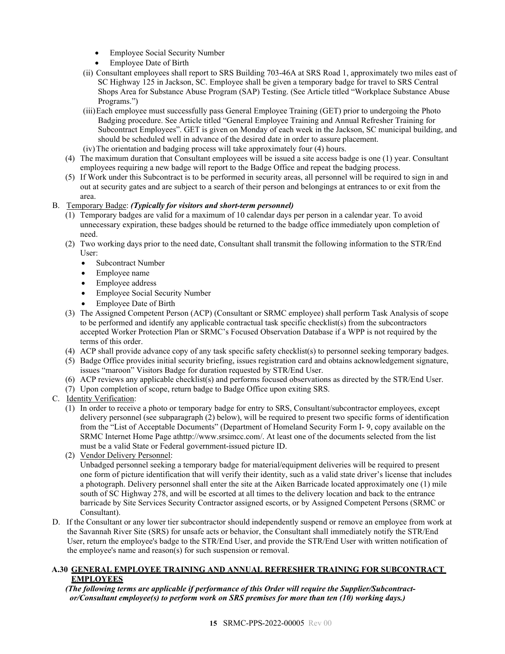- Employee Social Security Number
- Employee Date of Birth
- (ii) Consultant employees shall report to SRS Building 703-46A at SRS Road 1, approximately two miles east of SC Highway 125 in Jackson, SC. Employee shall be given a temporary badge for travel to SRS Central Shops Area for Substance Abuse Program (SAP) Testing. (See Article titled "Workplace Substance Abuse Programs.")
- (iii)Each employee must successfully pass General Employee Training (GET) prior to undergoing the Photo Badging procedure. See Article titled "General Employee Training and Annual Refresher Training for Subcontract Employees". GET is given on Monday of each week in the Jackson, SC municipal building, and should be scheduled well in advance of the desired date in order to assure placement.
- (iv)The orientation and badging process will take approximately four (4) hours.
- (4) The maximum duration that Consultant employees will be issued a site access badge is one (1) year. Consultant employees requiring a new badge will report to the Badge Office and repeat the badging process.
- (5) If Work under this Subcontract is to be performed in security areas, all personnel will be required to sign in and out at security gates and are subject to a search of their person and belongings at entrances to or exit from the area.

# B. Temporary Badge: *(Typically for visitors and short-term personnel)*

- (1) Temporary badges are valid for a maximum of 10 calendar days per person in a calendar year. To avoid unnecessary expiration, these badges should be returned to the badge office immediately upon completion of need.
- (2) Two working days prior to the need date, Consultant shall transmit the following information to the STR/End User:
	- Subcontract Number
	- Employee name
	- Employee address
	- Employee Social Security Number
	- Employee Date of Birth
- (3) The Assigned Competent Person (ACP) (Consultant or SRMC employee) shall perform Task Analysis of scope to be performed and identify any applicable contractual task specific checklist(s) from the subcontractors accepted Worker Protection Plan or SRMC's Focused Observation Database if a WPP is not required by the terms of this order.
- (4) ACP shall provide advance copy of any task specific safety checklist(s) to personnel seeking temporary badges.
- (5) Badge Office provides initial security briefing, issues registration card and obtains acknowledgement signature, issues "maroon" Visitors Badge for duration requested by STR/End User.
- (6) ACP reviews any applicable checklist(s) and performs focused observations as directed by the STR/End User.
- (7) Upon completion of scope, return badge to Badge Office upon exiting SRS.
- C. Identity Verification:
	- (1) In order to receive a photo or temporary badge for entry to SRS, Consultant/subcontractor employees, except delivery personnel (see subparagraph (2) below), will be required to present two specific forms of identification from the "List of Acceptable Documents" (Department of Homeland Security Form I- 9, copy available on the SRMC Internet Home Page a[thttp://www.srsimcc.com/.](http://www.srsimcc.com/) At least one of the documents selected from the list must be a valid State or Federal government-issued picture ID.
	- (2) Vendor Delivery Personnel:

Unbadged personnel seeking a temporary badge for material/equipment deliveries will be required to present one form of picture identification that will verify their identity, such as a valid state driver's license that includes a photograph. Delivery personnel shall enter the site at the Aiken Barricade located approximately one (1) mile south of SC Highway 278, and will be escorted at all times to the delivery location and back to the entrance barricade by Site Services Security Contractor assigned escorts, or by Assigned Competent Persons (SRMC or Consultant).

D. If the Consultant or any lower tier subcontractor should independently suspend or remove an employee from work at the Savannah River Site (SRS) for unsafe acts or behavior, the Consultant shall immediately notify the STR/End User, return the employee's badge to the STR/End User, and provide the STR/End User with written notification of the employee's name and reason(s) for such suspension or removal.

#### <span id="page-14-0"></span>**A.30 GENERAL EMPLOYEE TRAINING AND ANNUAL REFRESHER TRAINING FOR SUBCONTRACT EMPLOYEES**

## *(The following terms are applicable if performance of this Order will require the Supplier/Subcontractor/Consultant employee(s) to perform work on SRS premises for more than ten (10) working days.)*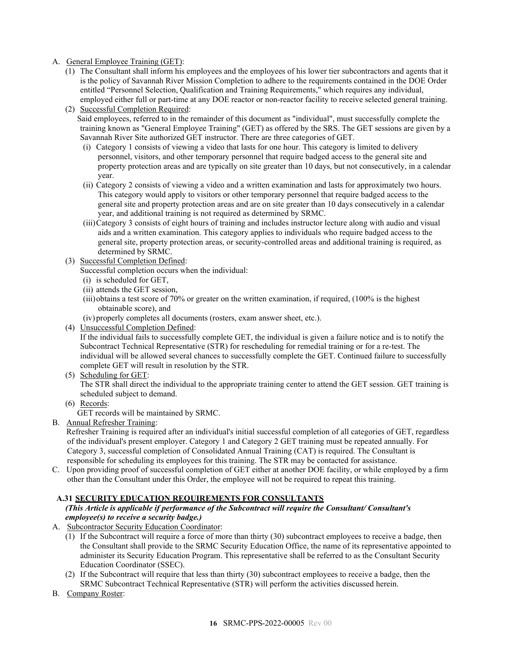# A. General Employee Training (GET):

(1) The Consultant shall inform his employees and the employees of his lower tier subcontractors and agents that it is the policy of Savannah River Mission Completion to adhere to the requirements contained in the DOE Order entitled "Personnel Selection, Qualification and Training Requirements," which requires any individual, employed either full or part-time at any DOE reactor or non-reactor facility to receive selected general training.

(2) Successful Completion Required: Said employees, referred to in the remainder of this document as "individual", must successfully complete the training known as "General Employee Training" (GET) as offered by the SRS. The GET sessions are given by a Savannah River Site authorized GET instructor. There are three categories of GET.

- (i) Category 1 consists of viewing a video that lasts for one hour. This category is limited to delivery personnel, visitors, and other temporary personnel that require badged access to the general site and property protection areas and are typically on site greater than 10 days, but not consecutively, in a calendar year.
- (ii) Category 2 consists of viewing a video and a written examination and lasts for approximately two hours. This category would apply to visitors or other temporary personnel that require badged access to the general site and property protection areas and are on site greater than 10 days consecutively in a calendar year, and additional training is not required as determined by SRMC.
- (iii)Category 3 consists of eight hours of training and includes instructor lecture along with audio and visual aids and a written examination. This category applies to individuals who require badged access to the general site, property protection areas, or security-controlled areas and additional training is required, as determined by SRMC.
- (3) Successful Completion Defined:
	- Successful completion occurs when the individual:
	- (i) is scheduled for GET,
	- (ii) attends the GET session,
	- (iii)obtains a test score of 70% or greater on the written examination, if required,  $(100\%$  is the highest obtainable score), and
	- (iv) properly completes all documents (rosters, exam answer sheet, etc.).
- (4) Unsuccessful Completion Defined:

If the individual fails to successfully complete GET, the individual is given a failure notice and is to notify the Subcontract Technical Representative (STR) for rescheduling for remedial training or for a re-test. The individual will be allowed several chances to successfully complete the GET. Continued failure to successfully complete GET will result in resolution by the STR.

(5) Scheduling for GET:

The STR shall direct the individual to the appropriate training center to attend the GET session. GET training is scheduled subject to demand.

(6) Records:

GET records will be maintained by SRMC.

B. Annual Refresher Training:

Refresher Training is required after an individual's initial successful completion of all categories of GET, regardless of the individual's present employer. Category 1 and Category 2 GET training must be repeated annually. For Category 3, successful completion of Consolidated Annual Training (CAT) is required. The Consultant is responsible for scheduling its employees for this training. The STR may be contacted for assistance.

C. Upon providing proof of successful completion of GET either at another DOE facility, or while employed by a firm other than the Consultant under this Order, the employee will not be required to repeat this training.

## <span id="page-15-0"></span>**A.31 SECURITY EDUCATION REQUIREMENTS FOR CONSULTANTS**

#### *(This Article is applicable if performance of the Subcontract will require the Consultant/ Consultant's employee(s) to receive a security badge.)*

- A. Subcontractor Security Education Coordinator:
	- (1) If the Subcontract will require a force of more than thirty (30) subcontract employees to receive a badge, then the Consultant shall provide to the SRMC Security Education Office, the name of its representative appointed to administer its Security Education Program. This representative shall be referred to as the Consultant Security Education Coordinator (SSEC).
	- (2) If the Subcontract will require that less than thirty (30) subcontract employees to receive a badge, then the SRMC Subcontract Technical Representative (STR) will perform the activities discussed herein.
- B. Company Roster: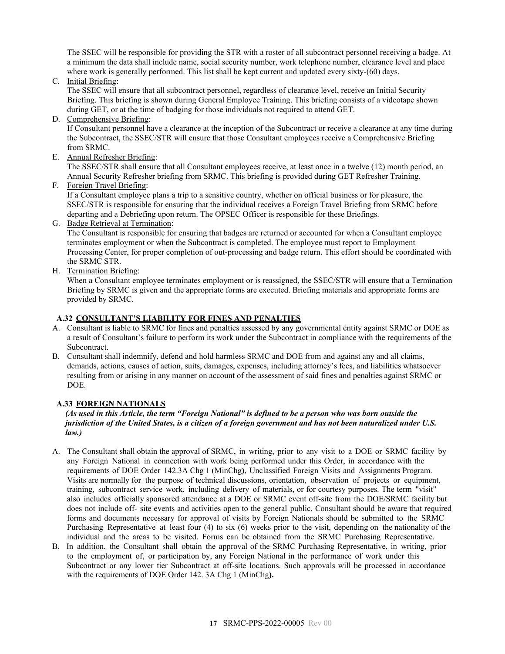The SSEC will be responsible for providing the STR with a roster of all subcontract personnel receiving a badge. At a minimum the data shall include name, social security number, work telephone number, clearance level and place where work is generally performed. This list shall be kept current and updated every sixty-(60) days.

C. Initial Briefing:

The SSEC will ensure that all subcontract personnel, regardless of clearance level, receive an Initial Security Briefing. This briefing is shown during General Employee Training. This briefing consists of a videotape shown during GET, or at the time of badging for those individuals not required to attend GET.

D. Comprehensive Briefing:

If Consultant personnel have a clearance at the inception of the Subcontract or receive a clearance at any time during the Subcontract, the SSEC/STR will ensure that those Consultant employees receive a Comprehensive Briefing from SRMC.

E. Annual Refresher Briefing:

The SSEC/STR shall ensure that all Consultant employees receive, at least once in a twelve (12) month period, an Annual Security Refresher briefing from SRMC. This briefing is provided during GET Refresher Training.

F. Foreign Travel Briefing:

If a Consultant employee plans a trip to a sensitive country, whether on official business or for pleasure, the SSEC/STR is responsible for ensuring that the individual receives a Foreign Travel Briefing from SRMC before departing and a Debriefing upon return. The OPSEC Officer is responsible for these Briefings.

G. Badge Retrieval at Termination:

The Consultant is responsible for ensuring that badges are returned or accounted for when a Consultant employee terminates employment or when the Subcontract is completed. The employee must report to Employment Processing Center, for proper completion of out-processing and badge return. This effort should be coordinated with the SRMC STR.

H. Termination Briefing:

When a Consultant employee terminates employment or is reassigned, the SSEC/STR will ensure that a Termination Briefing by SRMC is given and the appropriate forms are executed. Briefing materials and appropriate forms are provided by SRMC.

# <span id="page-16-0"></span>**A.32 CONSULTANT'S LIABILITY FOR FINES AND PENALTIES**

- A. Consultant is liable to SRMC for fines and penalties assessed by any governmental entity against SRMC or DOE as a result of Consultant's failure to perform its work under the Subcontract in compliance with the requirements of the Subcontract.
- B. Consultant shall indemnify, defend and hold harmless SRMC and DOE from and against any and all claims, demands, actions, causes of action, suits, damages, expenses, including attorney's fees, and liabilities whatsoever resulting from or arising in any manner on account of the assessment of said fines and penalties against SRMC or DOE.

# <span id="page-16-1"></span>**A.33 FOREIGN NATIONALS**

## *(As used in this Article, the term "Foreign National" is defined to be a person who was born outside the jurisdiction of the United States, is a citizen of a foreign government and has not been naturalized under U.S. law.)*

- A. The Consultant shall obtain the approval of SRMC, in writing, prior to any visit to a DOE or SRMC facility by any Foreign National in connection with work being performed under this Order, in accordance with the requirements of DOE Order 142.3A Chg 1 (MinChg**)**, Unclassified Foreign Visits and Assignments Program. Visits are normally for the purpose of technical discussions, orientation, observation of projects or equipment, training, subcontract service work, including delivery of materials, or for courtesy purposes. The term "visit" also includes officially sponsored attendance at a DOE or SRMC event off-site from the DOE/SRMC facility but does not include off- site events and activities open to the general public. Consultant should be aware that required forms and documents necessary for approval of visits by Foreign Nationals should be submitted to the SRMC Purchasing Representative at least four (4) to six (6) weeks prior to the visit, depending on the nationality of the individual and the areas to be visited. Forms can be obtained from the SRMC Purchasing Representative.
- B. In addition, the Consultant shall obtain the approval of the SRMC Purchasing Representative, in writing, prior to the employment of, or participation by, any Foreign National in the performance of work under this Subcontract or any lower tier Subcontract at off-site locations. Such approvals will be processed in accordance with the requirements of DOE Order 142. 3A Chg 1 (MinChg**).**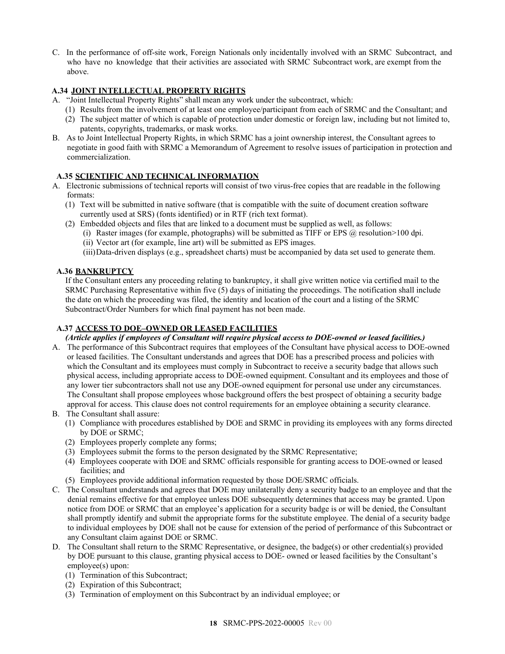C. In the performance of off-site work, Foreign Nationals only incidentally involved with an SRMC Subcontract, and who have no knowledge that their activities are associated with SRMC Subcontract work, are exempt from the above.

# <span id="page-17-0"></span>**A.34 JOINT INTELLECTUAL PROPERTY RIGHTS**

- A. "Joint Intellectual Property Rights" shall mean any work under the subcontract, which:
	- (1) Results from the involvement of at least one employee/participant from each of SRMC and the Consultant; and
	- (2) The subject matter of which is capable of protection under domestic or foreign law, including but not limited to, patents, copyrights, trademarks, or mask works.
- B. As to Joint Intellectual Property Rights, in which SRMC has a joint ownership interest, the Consultant agrees to negotiate in good faith with SRMC a Memorandum of Agreement to resolve issues of participation in protection and commercialization.

# <span id="page-17-1"></span>**A.35 SCIENTIFIC AND TECHNICAL INFORMATION**

- A. Electronic submissions of technical reports will consist of two virus-free copies that are readable in the following formats:
	- (1) Text will be submitted in native software (that is compatible with the suite of document creation software currently used at SRS) (fonts identified) or in RTF (rich text format).
	- (2) Embedded objects and files that are linked to a document must be supplied as well, as follows:
		- (i) Raster images (for example, photographs) will be submitted as TIFF or EPS  $\omega$  resolution > 100 dpi.
		- (ii) Vector art (for example, line art) will be submitted as EPS images.
		- (iii)Data-driven displays (e.g., spreadsheet charts) must be accompanied by data set used to generate them.

# <span id="page-17-2"></span>**A.36 BANKRUPTCY**

If the Consultant enters any proceeding relating to bankruptcy, it shall give written notice via certified mail to the SRMC Purchasing Representative within five (5) days of initiating the proceedings. The notification shall include the date on which the proceeding was filed, the identity and location of the court and a listing of the SRMC Subcontract/Order Numbers for which final payment has not been made.

# <span id="page-17-3"></span>**A.37 ACCESS TO DOE–OWNED OR LEASED FACILITIES**

*(Article applies if employees of Consultant will require physical access to DOE-owned or leased facilities.)*

- A. The performance of this Subcontract requires that employees of the Consultant have physical access to DOE-owned or leased facilities. The Consultant understands and agrees that DOE has a prescribed process and policies with which the Consultant and its employees must comply in Subcontract to receive a security badge that allows such physical access, including appropriate access to DOE-owned equipment. Consultant and its employees and those of any lower tier subcontractors shall not use any DOE-owned equipment for personal use under any circumstances. The Consultant shall propose employees whose background offers the best prospect of obtaining a security badge approval for access. This clause does not control requirements for an employee obtaining a security clearance.
- B. The Consultant shall assure:
	- (1) Compliance with procedures established by DOE and SRMC in providing its employees with any forms directed by DOE or SRMC;
	- (2) Employees properly complete any forms;
	- (3) Employees submit the forms to the person designated by the SRMC Representative;
	- (4) Employees cooperate with DOE and SRMC officials responsible for granting access to DOE-owned or leased facilities; and
	- (5) Employees provide additional information requested by those DOE/SRMC officials.
- C. The Consultant understands and agrees that DOE may unilaterally deny a security badge to an employee and that the denial remains effective for that employee unless DOE subsequently determines that access may be granted. Upon notice from DOE or SRMC that an employee's application for a security badge is or will be denied, the Consultant shall promptly identify and submit the appropriate forms for the substitute employee. The denial of a security badge to individual employees by DOE shall not be cause for extension of the period of performance of this Subcontract or any Consultant claim against DOE or SRMC.
- D. The Consultant shall return to the SRMC Representative, or designee, the badge(s) or other credential(s) provided by DOE pursuant to this clause, granting physical access to DOE- owned or leased facilities by the Consultant's employee(s) upon:
	- (1) Termination of this Subcontract;
	- (2) Expiration of this Subcontract;
	- (3) Termination of employment on this Subcontract by an individual employee; or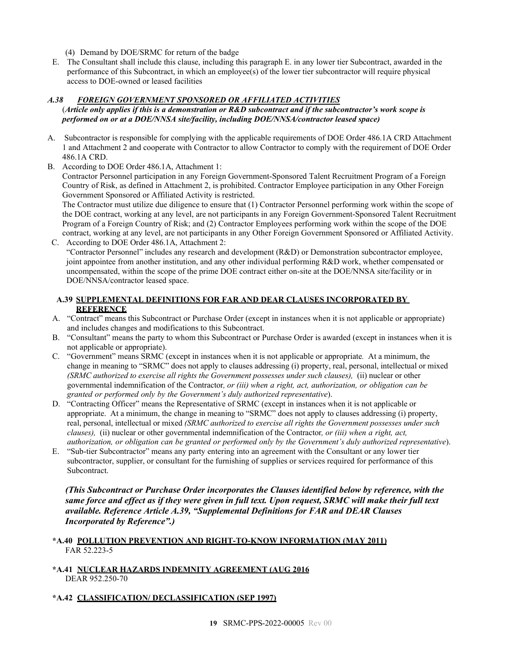- (4) Demand by DOE/SRMC for return of the badge
- E. The Consultant shall include this clause, including this paragraph E. in any lower tier Subcontract, awarded in the performance of this Subcontract, in which an employee(s) of the lower tier subcontractor will require physical access to DOE-owned or leased facilities

# *A.38 FOREIGN GOVERNMENT SPONSORED OR AFFILIATED ACTIVITIES*

## (*Article only applies if this is a demonstration or R&D subcontract and if the subcontractor's work scope is performed on or at a DOE/NNSA site/facility, including DOE/NNSA/contractor leased space)*

- A. Subcontractor is responsible for complying with the applicable requirements of DOE Order 486.1A CRD Attachment 1 and Attachment 2 and cooperate with Contractor to allow Contractor to comply with the requirement of DOE Order 486.1A CRD.
- B. According to DOE Order 486.1A, Attachment 1:

Contractor Personnel participation in any Foreign Government-Sponsored Talent Recruitment Program of a Foreign Country of Risk, as defined in Attachment 2, is prohibited. Contractor Employee participation in any Other Foreign Government Sponsored or Affiliated Activity is restricted.

The Contractor must utilize due diligence to ensure that (1) Contractor Personnel performing work within the scope of the DOE contract, working at any level, are not participants in any Foreign Government-Sponsored Talent Recruitment Program of a Foreign Country of Risk; and (2) Contractor Employees performing work within the scope of the DOE contract, working at any level, are not participants in any Other Foreign Government Sponsored or Affiliated Activity.

C. According to DOE Order 486.1A, Attachment 2: "Contractor Personnel" includes any research and development (R&D) or Demonstration subcontractor employee, joint appointee from another institution, and any other individual performing R&D work, whether compensated or uncompensated, within the scope of the prime DOE contract either on-site at the DOE/NNSA site/facility or in DOE/NNSA/contractor leased space.

### <span id="page-18-0"></span>**A.39 SUPPLEMENTAL DEFINITIONS FOR FAR AND DEAR CLAUSES INCORPORATED BY REFERENCE**

- A. "Contract" means this Subcontract or Purchase Order (except in instances when it is not applicable or appropriate) and includes changes and modifications to this Subcontract.
- B. "Consultant" means the party to whom this Subcontract or Purchase Order is awarded (except in instances when it is not applicable or appropriate).
- C. "Government" means SRMC (except in instances when it is not applicable or appropriate*.* At a minimum, the change in meaning to "SRMC" does not apply to clauses addressing (i) property, real, personal, intellectual or mixed *(SRMC authorized to exercise all rights the Government possesses under such clauses),* (ii) nuclear or other governmental indemnification of the Contractor*, or (iii) when a right, act, authorization, or obligation can be granted or performed only by the Government's duly authorized representative*).
- D. "Contracting Officer" means the Representative of SRMC (except in instances when it is not applicable or appropriate. At a minimum, the change in meaning to "SRMC" does not apply to clauses addressing (i) property, real, personal, intellectual or mixed *(SRMC authorized to exercise all rights the Government possesses under such clauses),* (ii) nuclear or other governmental indemnification of the Contractor*, or (iii) when a right, act, authorization, or obligation can be granted or performed only by the Government's duly authorized representative*).
- E. "Sub-tier Subcontractor" means any party entering into an agreement with the Consultant or any lower tier subcontractor, supplier, or consultant for the furnishing of supplies or services required for performance of this Subcontract.

*(This Subcontract or Purchase Order incorporates the Clauses identified below by reference, with the same force and effect as if they were given in full text. Upon request, SRMC will make their full text available. Reference Article A.39, "Supplemental Definitions for FAR and DEAR Clauses Incorporated by Reference".)*

## <span id="page-18-1"></span>**\*A.40 POLLUTION PREVENTION AND RIGHT-TO-KNOW INFORMATION (MAY 2011)** FAR 52.223-5

## <span id="page-18-2"></span>**\*A.41 NUCLEAR HAZARDS INDEMNITY AGREEMENT (AUG 2016** DEAR 952.250-70

## <span id="page-18-3"></span>**\*A.42 CLASSIFICATION/ DECLASSIFICATION (SEP 1997)**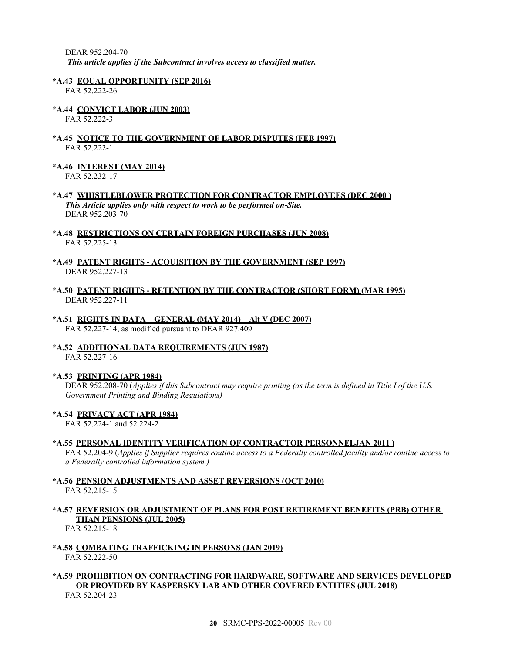DEAR 952.204-70 *This article applies if the Subcontract involves access to classified matter.*

#### <span id="page-19-0"></span>**\*A.43 EQUAL OPPORTUNITY (SEP 2016)**

FAR 52.222-26

<span id="page-19-1"></span>**\*A.44 CONVICT LABOR (JUN 2003)** FAR 52.222-3

#### <span id="page-19-2"></span>**\*A.45 NOTICE TO THE GOVERNMENT OF LABOR DISPUTES (FEB 1997)** FAR 52.222-1

<span id="page-19-3"></span>**\*A.46 INTEREST (MAY 2014)**

FAR 52.232-17

- <span id="page-19-4"></span>**\*A.47 WHISTLEBLOWER PROTECTION FOR CONTRACTOR EMPLOYEES (DEC 2000 )** *This Article applies only with respect to work to be performed on-Site.* DEAR 952.203-70
- <span id="page-19-5"></span>**\*A.48 RESTRICTIONS ON CERTAIN FOREIGN PURCHASES (JUN 2008)** FAR 52.225-13

#### <span id="page-19-6"></span>**\*A.49 PATENT RIGHTS - ACQUISITION BY THE GOVERNMENT (SEP 1997)** DEAR 952.227-13

- <span id="page-19-7"></span>**\*A.50 PATENT RIGHTS - RETENTION BY THE CONTRACTOR (SHORT FORM) (MAR 1995)** DEAR 952.227-11
- <span id="page-19-8"></span>**\*A.51 RIGHTS IN DATA – GENERAL (MAY 2014) – Alt V (DEC 2007)** FAR 52.227-14, as modified pursuant to DEAR 927.409
- <span id="page-19-9"></span>**\*A.52 ADDITIONAL DATA REQUIREMENTS (JUN 1987)** FAR 52.227-16

## <span id="page-19-10"></span>**\*A.53 PRINTING (APR 1984)**

DEAR 952.208-70 (*Applies if this Subcontract may require printing (as the term is defined in Title I of the U.S. Government Printing and Binding Regulations)*

#### <span id="page-19-11"></span>**\*A.54 PRIVACY ACT (APR 1984)**

FAR 52.224-1 and 52.224-2

## <span id="page-19-12"></span>**\*A.55 PERSONAL IDENTITY VERIFICATION OF CONTRACTOR PERSONNELJAN 2011 )**

FAR 52.204-9 (*Applies if Supplier requires routine access to a Federally controlled facility and/or routine access to a Federally controlled information system.)*

### <span id="page-19-13"></span>**\*A.56 PENSION ADJUSTMENTS AND ASSET REVERSIONS (OCT 2010)** FAR 52.215-15

<span id="page-19-14"></span>**\*A.57 REVERSION OR ADJUSTMENT OF PLANS FOR POST RETIREMENT BENEFITS (PRB) OTHER THAN PENSIONS (JUL 2005)**

FAR 52.215-18

<span id="page-19-15"></span>**\*A.58 COMBATING TRAFFICKING IN PERSONS (JAN 2019)** FAR 52.222-50

#### <span id="page-19-16"></span>**\*A.59 PROHIBITION ON CONTRACTING FOR HARDWARE, SOFTWARE AND SERVICES DEVELOPED OR PROVIDED BY KASPERSKY LAB AND OTHER COVERED ENTITIES (JUL 2018)** FAR 52.204-23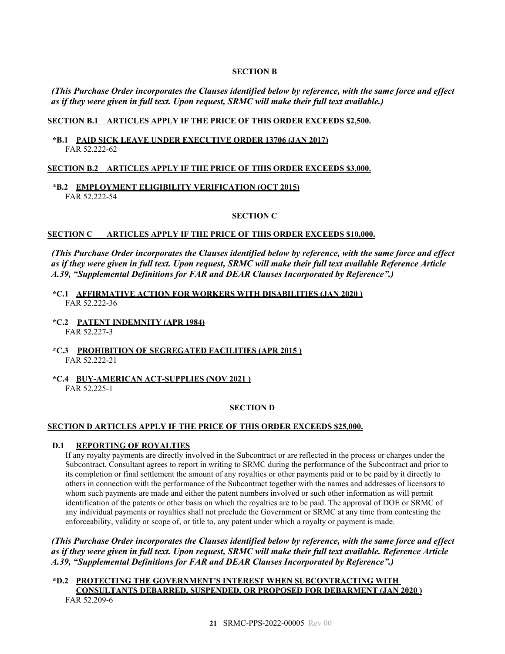#### **SECTION B**

<span id="page-20-0"></span>*(This Purchase Order incorporates the Clauses identified below by reference, with the same force and effect as if they were given in full text. Upon request, SRMC will make their full text available.)*

### **SECTION B.1 ARTICLES APPLY IF THE PRICE OF THIS ORDER EXCEEDS \$2,500.**

<span id="page-20-1"></span>**\*B.1 PAID SICK LEAVE UNDER EXECUTIVE ORDER 13706 (JAN 2017)** FAR 52.222-62

### **SECTION B.2 ARTICLES APPLY IF THE PRICE OF THIS ORDER EXCEEDS \$3,000.**

<span id="page-20-2"></span>\***B.2 EMPLOYMENT ELIGIBILITY VERIFICATION (OCT 2015)** FAR 52.222-54

#### **SECTION C**

#### <span id="page-20-3"></span>**SECTION C ARTICLES APPLY IF THE PRICE OF THIS ORDER EXCEEDS \$10,000.**

*(This Purchase Order incorporates the Clauses identified below by reference, with the same force and effect as if they were given in full text. Upon request, SRMC will make their full text available Reference Article A.39, "Supplemental Definitions for FAR and DEAR Clauses Incorporated by Reference".)*

- <span id="page-20-4"></span>**\*C.1 AFFIRMATIVE ACTION FOR WORKERS WITH DISABILITIES (JAN 2020 )** FAR 52.222-36
- <span id="page-20-5"></span>**\*C.2 PATENT INDEMNITY (APR 1984)** FAR 52.227-3
- <span id="page-20-6"></span>**\*C.3 PROHIBITION OF SEGREGATED FACILITIES (APR 2015 )** FAR 52.222-21
- <span id="page-20-7"></span>**\*C.4 BUY-AMERICAN ACT-SUPPLIES (NOV 2021 )** FAR 52.225-1

#### **SECTION D**

#### <span id="page-20-8"></span>**SECTION D ARTICLES APPLY IF THE PRICE OF THIS ORDER EXCEEDS \$25,000.**

#### <span id="page-20-9"></span>**D.1 REPORTING OF ROYALTIES**

If any royalty payments are directly involved in the Subcontract or are reflected in the process or charges under the Subcontract, Consultant agrees to report in writing to SRMC during the performance of the Subcontract and prior to its completion or final settlement the amount of any royalties or other payments paid or to be paid by it directly to others in connection with the performance of the Subcontract together with the names and addresses of licensors to whom such payments are made and either the patent numbers involved or such other information as will permit identification of the patents or other basis on which the royalties are to be paid. The approval of DOE or SRMC of any individual payments or royalties shall not preclude the Government or SRMC at any time from contesting the enforceability, validity or scope of, or title to, any patent under which a royalty or payment is made.

*(This Purchase Order incorporates the Clauses identified below by reference, with the same force and effect as if they were given in full text. Upon request, SRMC will make their full text available. Reference Article A.39, "Supplemental Definitions for FAR and DEAR Clauses Incorporated by Reference".)*

<span id="page-20-10"></span>**\*D.2 PROTECTING THE GOVERNMENT'S INTEREST WHEN SUBCONTRACTING WITH CONSULTANTS DEBARRED, SUSPENDED, OR PROPOSED FOR DEBARMENT (JAN 2020 )** FAR 52.209-6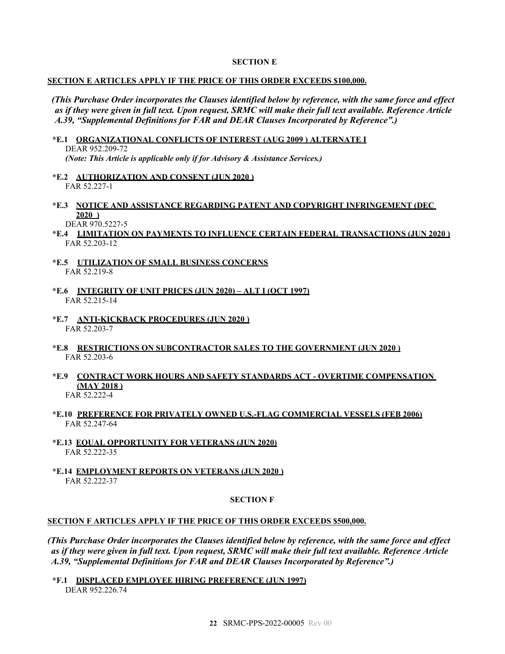#### **SECTION E**

#### <span id="page-21-0"></span>**SECTION E ARTICLES APPLY IF THE PRICE OF THIS ORDER EXCEEDS \$100,000.**

*(This Purchase Order incorporates the Clauses identified below by reference, with the same force and effect as if they were given in full text. Upon request, SRMC will make their full text available. Reference Article A.39, "Supplemental Definitions for FAR and DEAR Clauses Incorporated by Reference".)*

- <span id="page-21-1"></span>**\*E.1 ORGANIZATIONAL CONFLICTS OF INTEREST (AUG 2009 ) ALTERNATE I** DEAR 952.209-72 *(Note: This Article is applicable only if for Advisory & Assistance Services.)*
- <span id="page-21-2"></span>**\*E.2 AUTHORIZATION AND CONSENT (JUN 2020 )** FAR 52.227-1
- <span id="page-21-3"></span>**\*E.3 NOTICE AND ASSISTANCE REGARDING PATENT AND COPYRIGHT INFRINGEMENT (DEC 2020 )**

DEAR 970.5227-5

- <span id="page-21-4"></span>**\*E.4 LIMITATION ON PAYMENTS TO INFLUENCE CERTAIN FEDERAL TRANSACTIONS (JUN 2020 )** FAR 52.203-12
- <span id="page-21-5"></span>**\*E.5 UTILIZATION OF SMALL BUSINESS CONCERNS** FAR 52.219-8
- <span id="page-21-6"></span>**\*E.6 INTEGRITY OF UNIT PRICES (JUN 2020) – ALT I (OCT 1997)** FAR 52.215-14
- <span id="page-21-7"></span>**\*E.7 ANTI-KICKBACK PROCEDURES (JUN 2020 )** FAR 52.203-7
- <span id="page-21-8"></span>**\*E.8 RESTRICTIONS ON SUBCONTRACTOR SALES TO THE GOVERNMENT (JUN 2020 )** FAR 52.203-6
- <span id="page-21-9"></span>**\*E.9 CONTRACT WORK HOURS AND SAFETY STANDARDS ACT - OVERTIME COMPENSATION (MAY 2018 )**

FAR 52.222-4

- <span id="page-21-10"></span>**\*E.10 PREFERENCE FOR PRIVATELY OWNED U.S.-FLAG COMMERCIAL VESSELS (FEB 2006)** FAR 52.247-64
- <span id="page-21-11"></span>**\*E.13 EQUAL OPPORTUNITY FOR VETERANS (JUN 2020)** FAR 52.222-35
- <span id="page-21-12"></span>**\*E.14 EMPLOYMENT REPORTS ON VETERANS (JUN 2020 )** FAR 52.222-37

#### **SECTION F**

# <span id="page-21-13"></span>**SECTION F ARTICLES APPLY IF THE PRICE OF THIS ORDER EXCEEDS \$500,000.**

*(This Purchase Order incorporates the Clauses identified below by reference, with the same force and effect as if they were given in full text. Upon request, SRMC will make their full text available. Reference Article A.39, "Supplemental Definitions for FAR and DEAR Clauses Incorporated by Reference".)*

<span id="page-21-14"></span>**\*F.1 DISPLACED EMPLOYEE HIRING PREFERENCE (JUN 1997)** DEAR 952.226.74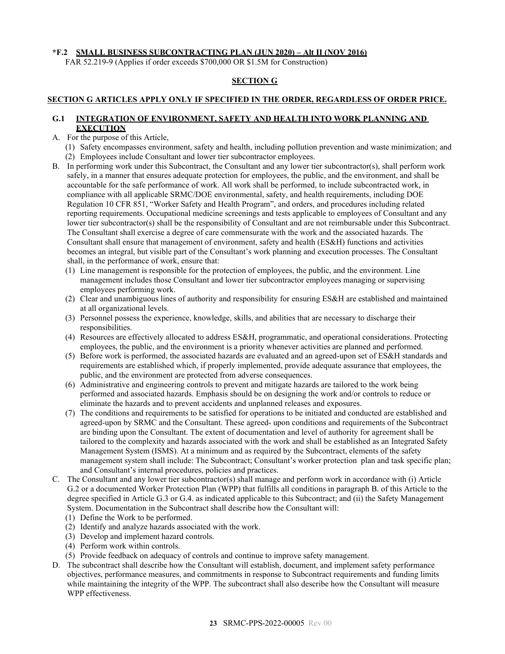## <span id="page-22-0"></span>**\*F.2 SMALL BUSINESS SUBCONTRACTING PLAN (JUN 2020) – Alt II (NOV 2016)**

FAR 52.219-9 (Applies if order exceeds \$700,000 OR \$1.5M for Construction)

### **SECTION G**

## <span id="page-22-1"></span>**SECTION G ARTICLES APPLY ONLY IF SPECIFIED IN THE ORDER, REGARDLESS OF ORDER PRICE.**

## <span id="page-22-2"></span>**G.1 INTEGRATION OF ENVIRONMENT, SAFETY AND HEALTH INTO WORK PLANNING AND EXECUTION**

- A. For the purpose of this Article,
	- (1) Safety encompasses environment, safety and health, including pollution prevention and waste minimization; and (2) Employees include Consultant and lower tier subcontractor employees.
- B. In performing work under this Subcontract, the Consultant and any lower tier subcontractor(s), shall perform work safely, in a manner that ensures adequate protection for employees, the public, and the environment, and shall be accountable for the safe performance of work. All work shall be performed, to include subcontracted work, in compliance with all applicable SRMC/DOE environmental, safety, and health requirements, including DOE Regulation 10 CFR 851, "Worker Safety and Health Program", and orders, and procedures including related reporting requirements. Occupational medicine screenings and tests applicable to employees of Consultant and any lower tier subcontractor(s) shall be the responsibility of Consultant and are not reimbursable under this Subcontract. The Consultant shall exercise a degree of care commensurate with the work and the associated hazards. The Consultant shall ensure that management of environment, safety and health (ES&H) functions and activities becomes an integral, but visible part of the Consultant's work planning and execution processes. The Consultant shall, in the performance of work, ensure that:
	- (1) Line management is responsible for the protection of employees, the public, and the environment. Line management includes those Consultant and lower tier subcontractor employees managing or supervising employees performing work.
	- (2) Clear and unambiguous lines of authority and responsibility for ensuring ES&H are established and maintained at all organizational levels.
	- (3) Personnel possess the experience, knowledge, skills, and abilities that are necessary to discharge their responsibilities.
	- (4) Resources are effectively allocated to address ES&H, programmatic, and operational considerations. Protecting employees, the public, and the environment is a priority whenever activities are planned and performed.
	- (5) Before work is performed, the associated hazards are evaluated and an agreed-upon set of ES&H standards and requirements are established which, if properly implemented, provide adequate assurance that employees, the public, and the environment are protected from adverse consequences.
	- (6) Administrative and engineering controls to prevent and mitigate hazards are tailored to the work being performed and associated hazards. Emphasis should be on designing the work and/or controls to reduce or eliminate the hazards and to prevent accidents and unplanned releases and exposures.
	- (7) The conditions and requirements to be satisfied for operations to be initiated and conducted are established and agreed-upon by SRMC and the Consultant. These agreed- upon conditions and requirements of the Subcontract are binding upon the Consultant. The extent of documentation and level of authority for agreement shall be tailored to the complexity and hazards associated with the work and shall be established as an Integrated Safety Management System (ISMS). At a minimum and as required by the Subcontract, elements of the safety management system shall include: The Subcontract; Consultant's worker protection plan and task specific plan; and Consultant's internal procedures, policies and practices.
- C. The Consultant and any lower tier subcontractor(s) shall manage and perform work in accordance with (i) Article G.2 or a documented Worker Protection Plan (WPP) that fulfills all conditions in paragraph B. of this Article to the degree specified in Article G.3 or G.4. as indicated applicable to this Subcontract; and (ii) the Safety Management System. Documentation in the Subcontract shall describe how the Consultant will:
	- (1) Define the Work to be performed.
	- (2) Identify and analyze hazards associated with the work.
	- (3) Develop and implement hazard controls.
	- (4) Perform work within controls.
	- (5) Provide feedback on adequacy of controls and continue to improve safety management.
- D. The subcontract shall describe how the Consultant will establish, document, and implement safety performance objectives, performance measures, and commitments in response to Subcontract requirements and funding limits while maintaining the integrity of the WPP. The subcontract shall also describe how the Consultant will measure WPP effectiveness.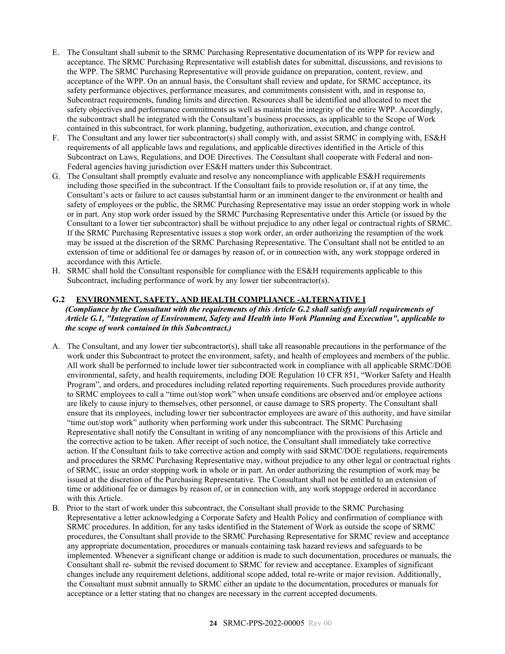- E. The Consultant shall submit to the SRMC Purchasing Representative documentation of its WPP for review and acceptance. The SRMC Purchasing Representative will establish dates for submittal, discussions, and revisions to the WPP. The SRMC Purchasing Representative will provide guidance on preparation, content, review, and acceptance of the WPP. On an annual basis, the Consultant shall review and update, for SRMC acceptance, its safety performance objectives, performance measures, and commitments consistent with, and in response to, Subcontract requirements, funding limits and direction. Resources shall be identified and allocated to meet the safety objectives and performance commitments as well as maintain the integrity of the entire WPP. Accordingly, the subcontract shall be integrated with the Consultant's business processes, as applicable to the Scope of Work contained in this subcontract, for work planning, budgeting, authorization, execution, and change control.
- F. The Consultant and any lower tier subcontractor(s) shall comply with, and assist SRMC in complying with, ES&H requirements of all applicable laws and regulations, and applicable directives identified in the Article of this Subcontract on Laws, Regulations, and DOE Directives. The Consultant shall cooperate with Federal and non-Federal agencies having jurisdiction over ES&H matters under this Subcontract.
- G. The Consultant shall promptly evaluate and resolve any noncompliance with applicable ES&H requirements including those specified in the subcontract. If the Consultant fails to provide resolution or, if at any time, the Consultant's acts or failure to act causes substantial harm or an imminent danger to the environment or health and safety of employees or the public, the SRMC Purchasing Representative may issue an order stopping work in whole or in part. Any stop work order issued by the SRMC Purchasing Representative under this Article (or issued by the Consultant to a lower tier subcontractor) shall be without prejudice to any other legal or contractual rights of SRMC. If the SRMC Purchasing Representative issues a stop work order, an order authorizing the resumption of the work may be issued at the discretion of the SRMC Purchasing Representative. The Consultant shall not be entitled to an extension of time or additional fee or damages by reason of, or in connection with, any work stoppage ordered in accordance with this Article.
- H. SRMC shall hold the Consultant responsible for compliance with the ES&H requirements applicable to this Subcontract, including performance of work by any lower tier subcontractor(s).

# <span id="page-23-0"></span>**G.2 ENVIRONMENT, SAFETY, AND HEALTH COMPLIANCE -ALTERNATIVE I**

## *(Compliance by the Consultant with the requirements of this Article G.2 shall satisfy any/all requirements of Article G.1, "Integration of Environment, Safety and Health into Work Planning and Execution", applicable to the scope of work contained in this Subcontract.)*

- A. The Consultant, and any lower tier subcontractor(s), shall take all reasonable precautions in the performance of the work under this Subcontract to protect the environment, safety, and health of employees and members of the public. All work shall be performed to include lower tier subcontracted work in compliance with all applicable SRMC/DOE environmental, safety, and health requirements, including DOE Regulation 10 CFR 851, "Worker Safety and Health Program", and orders, and procedures including related reporting requirements. Such procedures provide authority to SRMC employees to call a "time out/stop work" when unsafe conditions are observed and/or employee actions are likely to cause injury to themselves, other personnel, or cause damage to SRS property. The Consultant shall ensure that its employees, including lower tier subcontractor employees are aware of this authority, and have similar "time out/stop work" authority when performing work under this subcontract. The SRMC Purchasing Representative shall notify the Consultant in writing of any noncompliance with the provisions of this Article and the corrective action to be taken. After receipt of such notice, the Consultant shall immediately take corrective action. If the Consultant fails to take corrective action and comply with said SRMC/DOE regulations, requirements and procedures the SRMC Purchasing Representative may, without prejudice to any other legal or contractual rights of SRMC, issue an order stopping work in whole or in part. An order authorizing the resumption of work may be issued at the discretion of the Purchasing Representative. The Consultant shall not be entitled to an extension of time or additional fee or damages by reason of, or in connection with, any work stoppage ordered in accordance with this Article.
- B. Prior to the start of work under this subcontract, the Consultant shall provide to the SRMC Purchasing Representative a letter acknowledging a Corporate Safety and Health Policy and confirmation of compliance with SRMC procedures. In addition, for any tasks identified in the Statement of Work as outside the scope of SRMC procedures, the Consultant shall provide to the SRMC Purchasing Representative for SRMC review and acceptance any appropriate documentation, procedures or manuals containing task hazard reviews and safeguards to be implemented. Whenever a significant change or addition is made to such documentation, procedures or manuals, the Consultant shall re- submit the revised document to SRMC for review and acceptance. Examples of significant changes include any requirement deletions, additional scope added, total re-write or major revision. Additionally, the Consultant must submit annually to SRMC either an update to the documentation, procedures or manuals for acceptance or a letter stating that no changes are necessary in the current accepted documents.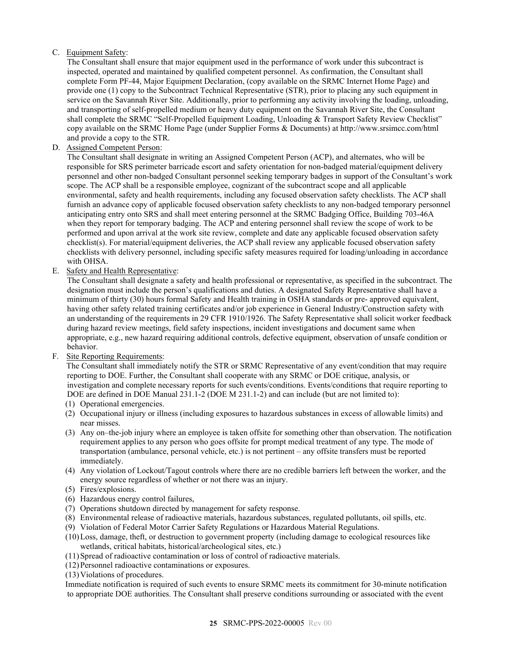# C. Equipment Safety:

The Consultant shall ensure that major equipment used in the performance of work under this subcontract is inspected, operated and maintained by qualified competent personnel. As confirmation, the Consultant shall complete Form PF-44, Major Equipment Declaration, (copy available on the SRMC Internet Home Page) and provide one (1) copy to the Subcontract Technical Representative (STR), prior to placing any such equipment in service on the Savannah River Site. Additionally, prior to performing any activity involving the loading, unloading, and transporting of self-propelled medium or heavy duty equipment on the Savannah River Site, the Consultant shall complete the SRMC "Self-Propelled Equipment Loading, Unloading & Transport Safety Review Checklist" copy available on the SRMC Home Page (under Supplier Forms & Documents) at [http://www.srsimcc.com/h](http://www.srsimcc.com/)tml and provide a copy to the STR.

D. Assigned Competent Person:

The Consultant shall designate in writing an Assigned Competent Person (ACP), and alternates, who will be responsible for SRS perimeter barricade escort and safety orientation for non-badged material/equipment delivery personnel and other non-badged Consultant personnel seeking temporary badges in support of the Consultant's work scope. The ACP shall be a responsible employee, cognizant of the subcontract scope and all applicable environmental, safety and health requirements, including any focused observation safety checklists. The ACP shall furnish an advance copy of applicable focused observation safety checklists to any non-badged temporary personnel anticipating entry onto SRS and shall meet entering personnel at the SRMC Badging Office, Building 703-46A when they report for temporary badging. The ACP and entering personnel shall review the scope of work to be performed and upon arrival at the work site review, complete and date any applicable focused observation safety checklist(s). For material/equipment deliveries, the ACP shall review any applicable focused observation safety checklists with delivery personnel, including specific safety measures required for loading/unloading in accordance with OHSA.

E. Safety and Health Representative:

The Consultant shall designate a safety and health professional or representative, as specified in the subcontract. The designation must include the person's qualifications and duties. A designated Safety Representative shall have a minimum of thirty (30) hours formal Safety and Health training in OSHA standards or pre- approved equivalent, having other safety related training certificates and/or job experience in General Industry/Construction safety with an understanding of the requirements in 29 CFR 1910/1926. The Safety Representative shall solicit worker feedback during hazard review meetings, field safety inspections, incident investigations and document same when appropriate, e.g., new hazard requiring additional controls, defective equipment, observation of unsafe condition or behavior.

F. Site Reporting Requirements:

The Consultant shall immediately notify the STR or SRMC Representative of any event/condition that may require reporting to DOE. Further, the Consultant shall cooperate with any SRMC or DOE critique, analysis, or investigation and complete necessary reports for such events/conditions. Events/conditions that require reporting to DOE are defined in DOE Manual 231.1-2 (DOE M 231.1-2) and can include (but are not limited to):

- (1) Operational emergencies.
- (2) Occupational injury or illness (including exposures to hazardous substances in excess of allowable limits) and near misses.
- (3) Any on–the-job injury where an employee is taken offsite for something other than observation. The notification requirement applies to any person who goes offsite for prompt medical treatment of any type. The mode of transportation (ambulance, personal vehicle, etc.) is not pertinent – any offsite transfers must be reported immediately.
- (4) Any violation of Lockout/Tagout controls where there are no credible barriers left between the worker, and the energy source regardless of whether or not there was an injury.
- (5) Fires/explosions.
- (6) Hazardous energy control failures,
- (7) Operations shutdown directed by management for safety response.
- (8) Environmental release of radioactive materials, hazardous substances, regulated pollutants, oil spills, etc.
- (9) Violation of Federal Motor Carrier Safety Regulations or Hazardous Material Regulations.
- (10)Loss, damage, theft, or destruction to government property (including damage to ecological resources like wetlands, critical habitats, historical/archeological sites, etc.)
- (11)Spread of radioactive contamination or loss of control of radioactive materials.
- (12)Personnel radioactive contaminations or exposures.
- (13)Violations of procedures.

Immediate notification is required of such events to ensure SRMC meets its commitment for 30-minute notification to appropriate DOE authorities. The Consultant shall preserve conditions surrounding or associated with the event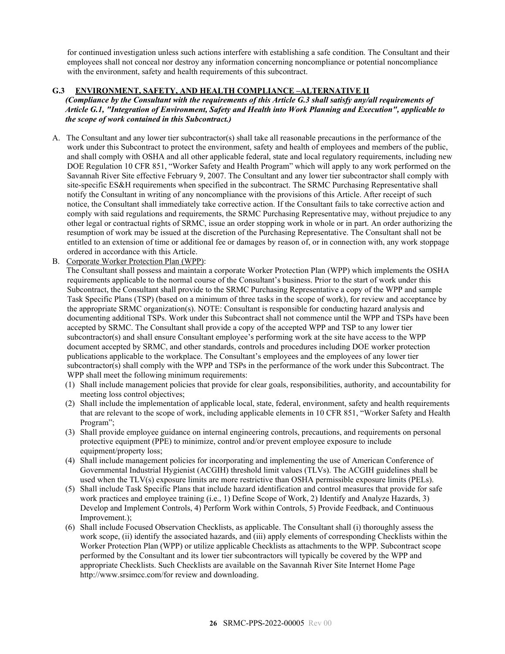for continued investigation unless such actions interfere with establishing a safe condition. The Consultant and their employees shall not conceal nor destroy any information concerning noncompliance or potential noncompliance with the environment, safety and health requirements of this subcontract.

## <span id="page-25-0"></span>**G.3 ENVIRONMENT, SAFETY, AND HEALTH COMPLIANCE –ALTERNATIVE II**

*(Compliance by the Consultant with the requirements of this Article G.3 shall satisfy any/all requirements of Article G.1, "Integration of Environment, Safety and Health into Work Planning and Execution", applicable to the scope of work contained in this Subcontract.)*

- A. The Consultant and any lower tier subcontractor(s) shall take all reasonable precautions in the performance of the work under this Subcontract to protect the environment, safety and health of employees and members of the public, and shall comply with OSHA and all other applicable federal, state and local regulatory requirements, including new DOE Regulation 10 CFR 851, "Worker Safety and Health Program" which will apply to any work performed on the Savannah River Site effective February 9, 2007. The Consultant and any lower tier subcontractor shall comply with site-specific ES&H requirements when specified in the subcontract. The SRMC Purchasing Representative shall notify the Consultant in writing of any noncompliance with the provisions of this Article. After receipt of such notice, the Consultant shall immediately take corrective action. If the Consultant fails to take corrective action and comply with said regulations and requirements, the SRMC Purchasing Representative may, without prejudice to any other legal or contractual rights of SRMC, issue an order stopping work in whole or in part. An order authorizing the resumption of work may be issued at the discretion of the Purchasing Representative. The Consultant shall not be entitled to an extension of time or additional fee or damages by reason of, or in connection with, any work stoppage ordered in accordance with this Article.
- B. Corporate Worker Protection Plan (WPP):

The Consultant shall possess and maintain a corporate Worker Protection Plan (WPP) which implements the OSHA requirements applicable to the normal course of the Consultant's business. Prior to the start of work under this Subcontract, the Consultant shall provide to the SRMC Purchasing Representative a copy of the WPP and sample Task Specific Plans (TSP) (based on a minimum of three tasks in the scope of work), for review and acceptance by the appropriate SRMC organization(s). NOTE: Consultant is responsible for conducting hazard analysis and documenting additional TSPs. Work under this Subcontract shall not commence until the WPP and TSPs have been accepted by SRMC. The Consultant shall provide a copy of the accepted WPP and TSP to any lower tier subcontractor(s) and shall ensure Consultant employee's performing work at the site have access to the WPP document accepted by SRMC, and other standards, controls and procedures including DOE worker protection publications applicable to the workplace. The Consultant's employees and the employees of any lower tier subcontractor(s) shall comply with the WPP and TSPs in the performance of the work under this Subcontract. The WPP shall meet the following minimum requirements:

- (1) Shall include management policies that provide for clear goals, responsibilities, authority, and accountability for meeting loss control objectives;
- (2) Shall include the implementation of applicable local, state, federal, environment, safety and health requirements that are relevant to the scope of work, including applicable elements in 10 CFR 851, "Worker Safety and Health Program";
- (3) Shall provide employee guidance on internal engineering controls, precautions, and requirements on personal protective equipment (PPE) to minimize, control and/or prevent employee exposure to include equipment/property loss;
- (4) Shall include management policies for incorporating and implementing the use of American Conference of Governmental Industrial Hygienist (ACGIH) threshold limit values (TLVs). The ACGIH guidelines shall be used when the TLV(s) exposure limits are more restrictive than OSHA permissible exposure limits (PELs).
- (5) Shall include Task Specific Plans that include hazard identification and control measures that provide for safe work practices and employee training (i.e., 1) Define Scope of Work, 2) Identify and Analyze Hazards, 3) Develop and Implement Controls, 4) Perform Work within Controls, 5) Provide Feedback, and Continuous Improvement.);
- (6) Shall include Focused Observation Checklists, as applicable. The Consultant shall (i) thoroughly assess the work scope, (ii) identify the associated hazards, and (iii) apply elements of corresponding Checklists within the Worker Protection Plan (WPP) or utilize applicable Checklists as attachments to the WPP. Subcontract scope performed by the Consultant and its lower tier subcontractors will typically be covered by the WPP and appropriate Checklists. Such Checklists are available on the Savannah River Site Internet Home Page [http://www.srsimcc.com/f](http://www.srsimcc.com/)or review and downloading.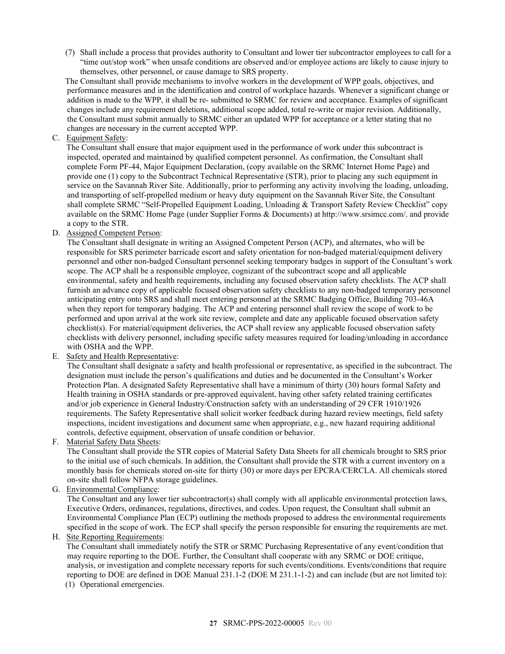(7) Shall include a process that provides authority to Consultant and lower tier subcontractor employees to call for a "time out/stop work" when unsafe conditions are observed and/or employee actions are likely to cause injury to themselves, other personnel, or cause damage to SRS property.

The Consultant shall provide mechanisms to involve workers in the development of WPP goals, objectives, and performance measures and in the identification and control of workplace hazards. Whenever a significant change or addition is made to the WPP, it shall be re- submitted to SRMC for review and acceptance. Examples of significant changes include any requirement deletions, additional scope added, total re-write or major revision. Additionally, the Consultant must submit annually to SRMC either an updated WPP for acceptance or a letter stating that no changes are necessary in the current accepted WPP.

C. Equipment Safety:

The Consultant shall ensure that major equipment used in the performance of work under this subcontract is inspected, operated and maintained by qualified competent personnel. As confirmation, the Consultant shall complete Form PF-44, Major Equipment Declaration, (copy available on the SRMC Internet Home Page) and provide one (1) copy to the Subcontract Technical Representative (STR), prior to placing any such equipment in service on the Savannah River Site. Additionally, prior to performing any activity involving the loading, unloading, and transporting of self-propelled medium or heavy duty equipment on the Savannah River Site, the Consultant shall complete SRMC "Self-Propelled Equipment Loading, Unloading & Transport Safety Review Checklist" copy available on the SRMC Home Page (under Supplier Forms & Documents) a[t http://www.srsimcc.com/,](http://www.srsimcc.com/) and provide a copy to the STR.

D. Assigned Competent Person:

The Consultant shall designate in writing an Assigned Competent Person (ACP), and alternates, who will be responsible for SRS perimeter barricade escort and safety orientation for non-badged material/equipment delivery personnel and other non-badged Consultant personnel seeking temporary badges in support of the Consultant's work scope. The ACP shall be a responsible employee, cognizant of the subcontract scope and all applicable environmental, safety and health requirements, including any focused observation safety checklists. The ACP shall furnish an advance copy of applicable focused observation safety checklists to any non-badged temporary personnel anticipating entry onto SRS and shall meet entering personnel at the SRMC Badging Office, Building 703-46A when they report for temporary badging. The ACP and entering personnel shall review the scope of work to be performed and upon arrival at the work site review, complete and date any applicable focused observation safety checklist(s). For material/equipment deliveries, the ACP shall review any applicable focused observation safety checklists with delivery personnel, including specific safety measures required for loading/unloading in accordance with OSHA and the WPP.

E. Safety and Health Representative:

The Consultant shall designate a safety and health professional or representative, as specified in the subcontract. The designation must include the person's qualifications and duties and be documented in the Consultant's Worker Protection Plan. A designated Safety Representative shall have a minimum of thirty (30) hours formal Safety and Health training in OSHA standards or pre-approved equivalent, having other safety related training certificates and/or job experience in General Industry/Construction safety with an understanding of 29 CFR 1910/1926 requirements. The Safety Representative shall solicit worker feedback during hazard review meetings, field safety inspections, incident investigations and document same when appropriate, e.g., new hazard requiring additional controls, defective equipment, observation of unsafe condition or behavior.

F. Material Safety Data Sheets:

The Consultant shall provide the STR copies of Material Safety Data Sheets for all chemicals brought to SRS prior to the initial use of such chemicals. In addition, the Consultant shall provide the STR with a current inventory on a monthly basis for chemicals stored on-site for thirty (30) or more days per EPCRA/CERCLA. All chemicals stored on-site shall follow NFPA storage guidelines.

G. Environmental Compliance:

The Consultant and any lower tier subcontractor(s) shall comply with all applicable environmental protection laws, Executive Orders, ordinances, regulations, directives, and codes. Upon request, the Consultant shall submit an Environmental Compliance Plan (ECP) outlining the methods proposed to address the environmental requirements specified in the scope of work. The ECP shall specify the person responsible for ensuring the requirements are met.

H. Site Reporting Requirements:

The Consultant shall immediately notify the STR or SRMC Purchasing Representative of any event/condition that may require reporting to the DOE. Further, the Consultant shall cooperate with any SRMC or DOE critique, analysis, or investigation and complete necessary reports for such events/conditions. Events/conditions that require reporting to DOE are defined in DOE Manual 231.1-2 (DOE M 231.1-1-2) and can include (but are not limited to):

(1) Operational emergencies.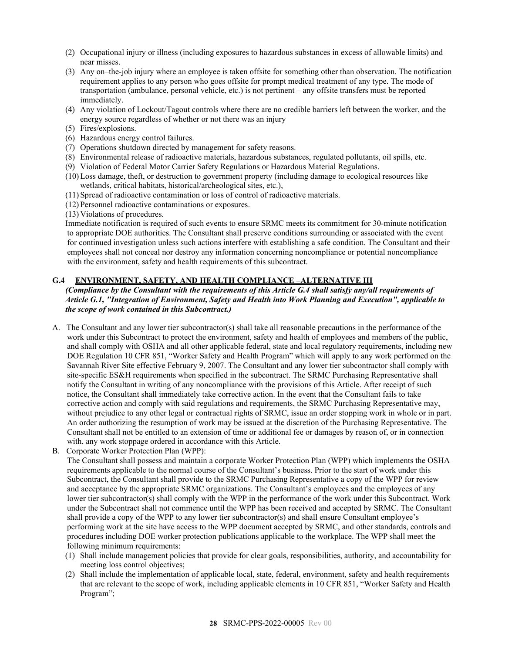- (2) Occupational injury or illness (including exposures to hazardous substances in excess of allowable limits) and near misses.
- (3) Any on–the-job injury where an employee is taken offsite for something other than observation. The notification requirement applies to any person who goes offsite for prompt medical treatment of any type. The mode of transportation (ambulance, personal vehicle, etc.) is not pertinent – any offsite transfers must be reported immediately.
- (4) Any violation of Lockout/Tagout controls where there are no credible barriers left between the worker, and the energy source regardless of whether or not there was an injury
- (5) Fires/explosions.
- (6) Hazardous energy control failures.
- (7) Operations shutdown directed by management for safety reasons.
- (8) Environmental release of radioactive materials, hazardous substances, regulated pollutants, oil spills, etc.
- (9) Violation of Federal Motor Carrier Safety Regulations or Hazardous Material Regulations.
- (10)Loss damage, theft, or destruction to government property (including damage to ecological resources like wetlands, critical habitats, historical/archeological sites, etc.),
- (11) Spread of radioactive contamination or loss of control of radioactive materials.
- (12) Personnel radioactive contaminations or exposures.
- (13) Violations of procedures.

Immediate notification is required of such events to ensure SRMC meets its commitment for 30-minute notification to appropriate DOE authorities. The Consultant shall preserve conditions surrounding or associated with the event for continued investigation unless such actions interfere with establishing a safe condition. The Consultant and their employees shall not conceal nor destroy any information concerning noncompliance or potential noncompliance with the environment, safety and health requirements of this subcontract.

## <span id="page-27-0"></span>**G.4 ENVIRONMENT, SAFETY, AND HEALTH COMPLIANCE –ALTERNATIVE III**

*(Compliance by the Consultant with the requirements of this Article G.4 shall satisfy any/all requirements of Article G.1, "Integration of Environment, Safety and Health into Work Planning and Execution", applicable to the scope of work contained in this Subcontract.)*

- A. The Consultant and any lower tier subcontractor(s) shall take all reasonable precautions in the performance of the work under this Subcontract to protect the environment, safety and health of employees and members of the public, and shall comply with OSHA and all other applicable federal, state and local regulatory requirements, including new DOE Regulation 10 CFR 851, "Worker Safety and Health Program" which will apply to any work performed on the Savannah River Site effective February 9, 2007. The Consultant and any lower tier subcontractor shall comply with site-specific ES&H requirements when specified in the subcontract. The SRMC Purchasing Representative shall notify the Consultant in writing of any noncompliance with the provisions of this Article. After receipt of such notice, the Consultant shall immediately take corrective action. In the event that the Consultant fails to take corrective action and comply with said regulations and requirements, the SRMC Purchasing Representative may, without prejudice to any other legal or contractual rights of SRMC, issue an order stopping work in whole or in part. An order authorizing the resumption of work may be issued at the discretion of the Purchasing Representative. The Consultant shall not be entitled to an extension of time or additional fee or damages by reason of, or in connection with, any work stoppage ordered in accordance with this Article.
- B. Corporate Worker Protection Plan (WPP):

The Consultant shall possess and maintain a corporate Worker Protection Plan (WPP) which implements the OSHA requirements applicable to the normal course of the Consultant's business. Prior to the start of work under this Subcontract, the Consultant shall provide to the SRMC Purchasing Representative a copy of the WPP for review and acceptance by the appropriate SRMC organizations. The Consultant's employees and the employees of any lower tier subcontractor(s) shall comply with the WPP in the performance of the work under this Subcontract. Work under the Subcontract shall not commence until the WPP has been received and accepted by SRMC. The Consultant shall provide a copy of the WPP to any lower tier subcontractor(s) and shall ensure Consultant employee's performing work at the site have access to the WPP document accepted by SRMC, and other standards, controls and procedures including DOE worker protection publications applicable to the workplace. The WPP shall meet the following minimum requirements:

- (1) Shall include management policies that provide for clear goals, responsibilities, authority, and accountability for meeting loss control objectives;
- (2) Shall include the implementation of applicable local, state, federal, environment, safety and health requirements that are relevant to the scope of work, including applicable elements in 10 CFR 851, "Worker Safety and Health Program";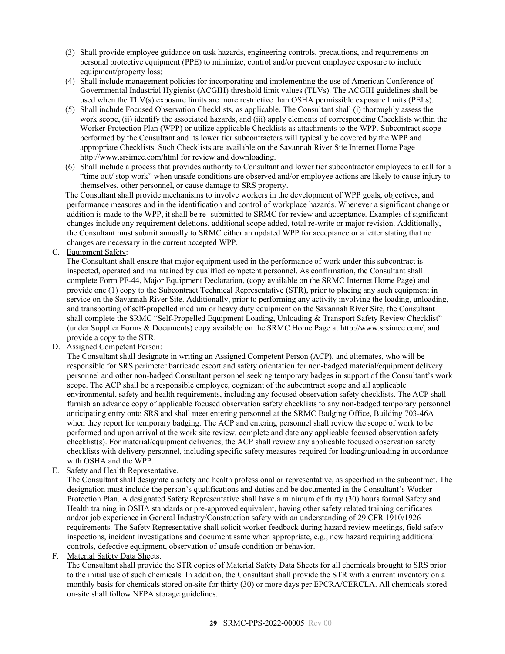- (3) Shall provide employee guidance on task hazards, engineering controls, precautions, and requirements on personal protective equipment (PPE) to minimize, control and/or prevent employee exposure to include equipment/property loss;
- (4) Shall include management policies for incorporating and implementing the use of American Conference of Governmental Industrial Hygienist (ACGIH) threshold limit values (TLVs). The ACGIH guidelines shall be used when the TLV(s) exposure limits are more restrictive than OSHA permissible exposure limits (PELs).
- (5) Shall include Focused Observation Checklists, as applicable. The Consultant shall (i) thoroughly assess the work scope, (ii) identify the associated hazards, and (iii) apply elements of corresponding Checklists within the Worker Protection Plan (WPP) or utilize applicable Checklists as attachments to the WPP. Subcontract scope performed by the Consultant and its lower tier subcontractors will typically be covered by the WPP and appropriate Checklists. Such Checklists are available on the Savannah River Site Internet Home Page [http://www.srsimcc.com/h](http://www.srsimcc.com/)tml for review and downloading.
- (6) Shall include a process that provides authority to Consultant and lower tier subcontractor employees to call for a "time out/ stop work" when unsafe conditions are observed and/or employee actions are likely to cause injury to themselves, other personnel, or cause damage to SRS property.

The Consultant shall provide mechanisms to involve workers in the development of WPP goals, objectives, and performance measures and in the identification and control of workplace hazards. Whenever a significant change or addition is made to the WPP, it shall be re- submitted to SRMC for review and acceptance. Examples of significant changes include any requirement deletions, additional scope added, total re-write or major revision. Additionally, the Consultant must submit annually to SRMC either an updated WPP for acceptance or a letter stating that no changes are necessary in the current accepted WPP.

C. Equipment Safety:

The Consultant shall ensure that major equipment used in the performance of work under this subcontract is inspected, operated and maintained by qualified competent personnel. As confirmation, the Consultant shall complete Form PF-44, Major Equipment Declaration, (copy available on the SRMC Internet Home Page) and provide one (1) copy to the Subcontract Technical Representative (STR), prior to placing any such equipment in service on the Savannah River Site. Additionally, prior to performing any activity involving the loading, unloading, and transporting of self-propelled medium or heavy duty equipment on the Savannah River Site, the Consultant shall complete the SRMC "Self-Propelled Equipment Loading, Unloading & Transport Safety Review Checklist" (under Supplier Forms & Documents) copy available on the SRMC Home Page a[t http://www.srsimcc.com/,](http://www.srsimcc.com/) and provide a copy to the STR.

D. Assigned Competent Person:

The Consultant shall designate in writing an Assigned Competent Person (ACP), and alternates, who will be responsible for SRS perimeter barricade escort and safety orientation for non-badged material/equipment delivery personnel and other non-badged Consultant personnel seeking temporary badges in support of the Consultant's work scope. The ACP shall be a responsible employee, cognizant of the subcontract scope and all applicable environmental, safety and health requirements, including any focused observation safety checklists. The ACP shall furnish an advance copy of applicable focused observation safety checklists to any non-badged temporary personnel anticipating entry onto SRS and shall meet entering personnel at the SRMC Badging Office, Building 703-46A when they report for temporary badging. The ACP and entering personnel shall review the scope of work to be performed and upon arrival at the work site review, complete and date any applicable focused observation safety checklist(s). For material/equipment deliveries, the ACP shall review any applicable focused observation safety checklists with delivery personnel, including specific safety measures required for loading/unloading in accordance with OSHA and the WPP.

E. Safety and Health Representative.

The Consultant shall designate a safety and health professional or representative, as specified in the subcontract. The designation must include the person's qualifications and duties and be documented in the Consultant's Worker Protection Plan. A designated Safety Representative shall have a minimum of thirty (30) hours formal Safety and Health training in OSHA standards or pre-approved equivalent, having other safety related training certificates and/or job experience in General Industry/Construction safety with an understanding of 29 CFR 1910/1926 requirements. The Safety Representative shall solicit worker feedback during hazard review meetings, field safety inspections, incident investigations and document same when appropriate, e.g., new hazard requiring additional controls, defective equipment, observation of unsafe condition or behavior.

F. Material Safety Data Sheets.

The Consultant shall provide the STR copies of Material Safety Data Sheets for all chemicals brought to SRS prior to the initial use of such chemicals. In addition, the Consultant shall provide the STR with a current inventory on a monthly basis for chemicals stored on-site for thirty (30) or more days per EPCRA/CERCLA. All chemicals stored on-site shall follow NFPA storage guidelines.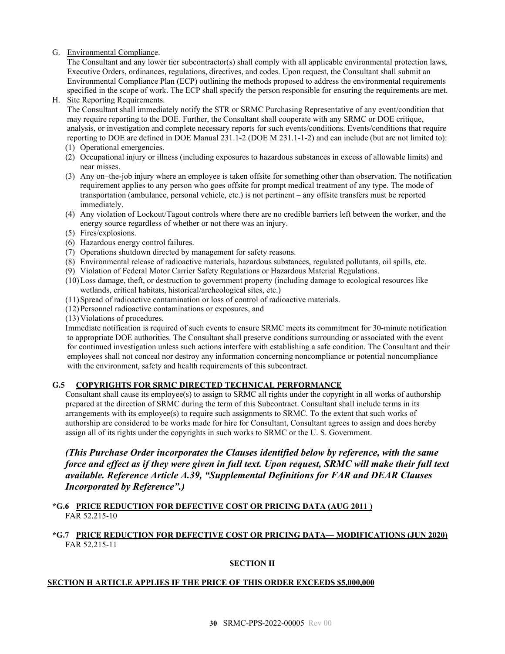# G. Environmental Compliance.

The Consultant and any lower tier subcontractor(s) shall comply with all applicable environmental protection laws, Executive Orders, ordinances, regulations, directives, and codes. Upon request, the Consultant shall submit an Environmental Compliance Plan (ECP) outlining the methods proposed to address the environmental requirements specified in the scope of work. The ECP shall specify the person responsible for ensuring the requirements are met.

## H. Site Reporting Requirements.

The Consultant shall immediately notify the STR or SRMC Purchasing Representative of any event/condition that may require reporting to the DOE. Further, the Consultant shall cooperate with any SRMC or DOE critique, analysis, or investigation and complete necessary reports for such events/conditions. Events/conditions that require reporting to DOE are defined in DOE Manual 231.1-2 (DOE M 231.1-1-2) and can include (but are not limited to):

- (1) Operational emergencies.
- (2) Occupational injury or illness (including exposures to hazardous substances in excess of allowable limits) and near misses.
- (3) Any on–the-job injury where an employee is taken offsite for something other than observation. The notification requirement applies to any person who goes offsite for prompt medical treatment of any type. The mode of transportation (ambulance, personal vehicle, etc.) is not pertinent – any offsite transfers must be reported immediately.
- (4) Any violation of Lockout/Tagout controls where there are no credible barriers left between the worker, and the energy source regardless of whether or not there was an injury.
- (5) Fires/explosions.
- (6) Hazardous energy control failures.
- (7) Operations shutdown directed by management for safety reasons.
- (8) Environmental release of radioactive materials, hazardous substances, regulated pollutants, oil spills, etc.
- (9) Violation of Federal Motor Carrier Safety Regulations or Hazardous Material Regulations.
- (10)Loss damage, theft, or destruction to government property (including damage to ecological resources like wetlands, critical habitats, historical/archeological sites, etc.)
- (11)Spread of radioactive contamination or loss of control of radioactive materials.
- (12)Personnel radioactive contaminations or exposures, and
- (13)Violations of procedures.

Immediate notification is required of such events to ensure SRMC meets its commitment for 30-minute notification to appropriate DOE authorities. The Consultant shall preserve conditions surrounding or associated with the event for continued investigation unless such actions interfere with establishing a safe condition. The Consultant and their employees shall not conceal nor destroy any information concerning noncompliance or potential noncompliance with the environment, safety and health requirements of this subcontract.

# <span id="page-29-0"></span>**G.5 COPYRIGHTS FOR SRMC DIRECTED TECHNICAL PERFORMANCE**

Consultant shall cause its employee(s) to assign to SRMC all rights under the copyright in all works of authorship prepared at the direction of SRMC during the term of this Subcontract. Consultant shall include terms in its arrangements with its employee(s) to require such assignments to SRMC. To the extent that such works of authorship are considered to be works made for hire for Consultant, Consultant agrees to assign and does hereby assign all of its rights under the copyrights in such works to SRMC or the U. S. Government.

*(This Purchase Order incorporates the Clauses identified below by reference, with the same force and effect as if they were given in full text. Upon request, SRMC will make their full text available. Reference Article A.39, "Supplemental Definitions for FAR and DEAR Clauses Incorporated by Reference".)*

# <span id="page-29-1"></span>**\*G.6 PRICE REDUCTION FOR DEFECTIVE COST OR PRICING DATA (AUG 2011 )** FAR 52.215-10

# <span id="page-29-2"></span>**\*G.7 PRICE REDUCTION FOR DEFECTIVE COST OR PRICING DATA— MODIFICATIONS (JUN 2020)** FAR 52.215-11

# **SECTION H**

# <span id="page-29-3"></span>**SECTION H ARTICLE APPLIES IF THE PRICE OF THIS ORDER EXCEEDS \$5,000,000**